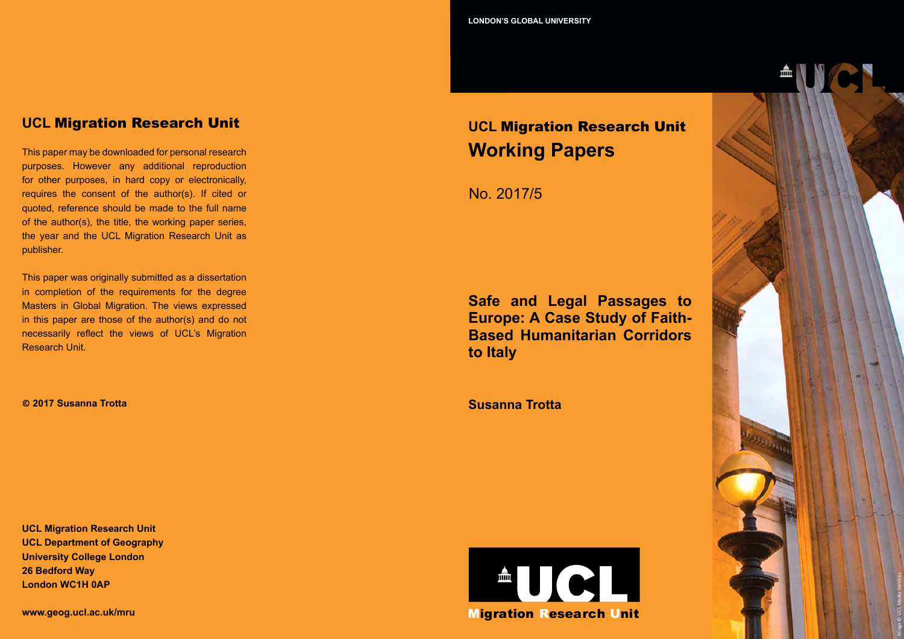## **UCL** Migration Research Unit

This paper may be downloaded for personal research purposes. However any additional reproduction for other purposes, in hard copy or electronically, requires the consent of the author(s). If cited or quoted, reference should be made to the full name of the author(s), the title, the working paper series, the year and the UCL Migration Research Unit as publisher.

This paper was originally submitted as a dissertation in completion of the requirements for the degree Masters in Global Migration. The views expressed in this paper are those of the author(s) and do not necessarily reflect the views of UCL's Migration Research Unit.

**© 2017 Susanna Trotta**

**UCL Migration Research Unit UCL Department of Geography University College London 26 Bedford Way London WC1H 0AP**

**www.geog.ucl.ac.uk/mru**

# **UCL** Migration Research Unit **Working Papers**

No. 2017/5

**Safe and Legal Passages to Europe: A Case Study of Faith-Based Humanitarian Corridors to Italy**

**Susanna Trotta**



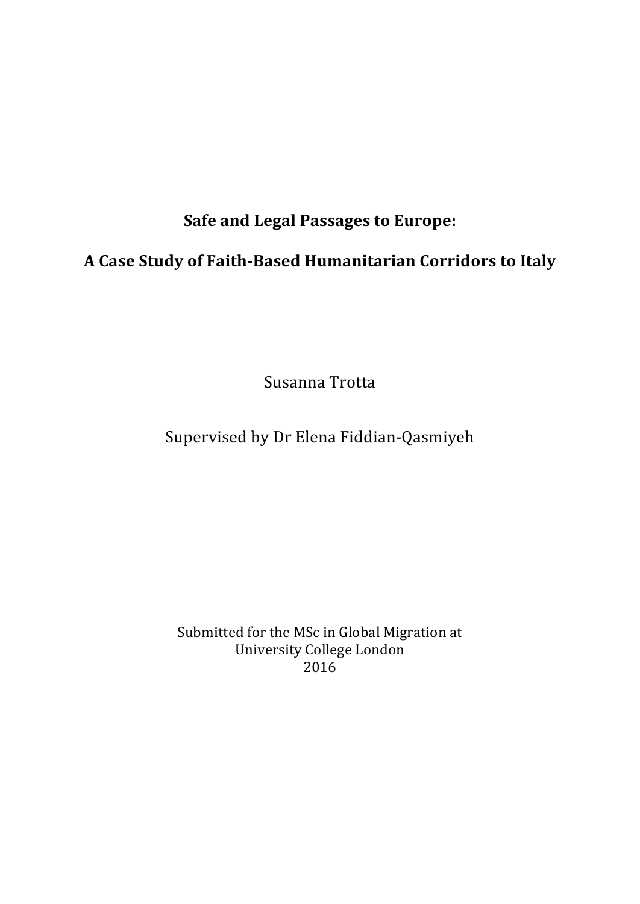# **Safe and Legal Passages to Europe:**

# **A Case Study of Faith-Based Humanitarian Corridors to Italy**

Susanna Trotta

# Supervised by Dr Elena Fiddian-Qasmiyeh

Submitted for the MSc in Global Migration at University College London 2016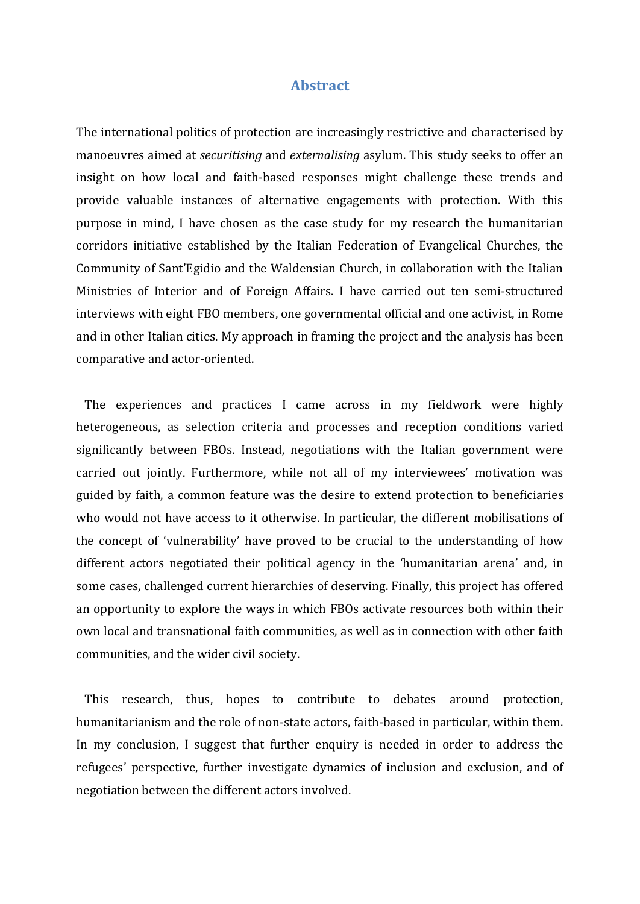## **Abstract**

The international politics of protection are increasingly restrictive and characterised by manoeuvres aimed at *securitising* and *externalising* asylum. This study seeks to offer an insight on how local and faith-based responses might challenge these trends and provide valuable instances of alternative engagements with protection. With this purpose in mind, I have chosen as the case study for my research the humanitarian corridors initiative established by the Italian Federation of Evangelical Churches, the Community of Sant'Egidio and the Waldensian Church, in collaboration with the Italian Ministries of Interior and of Foreign Affairs. I have carried out ten semi-structured interviews with eight FBO members, one governmental official and one activist, in Rome and in other Italian cities. My approach in framing the project and the analysis has been comparative and actor-oriented.

 The experiences and practices I came across in my fieldwork were highly heterogeneous, as selection criteria and processes and reception conditions varied significantly between FBOs. Instead, negotiations with the Italian government were carried out jointly. Furthermore, while not all of my interviewees' motivation was guided by faith, a common feature was the desire to extend protection to beneficiaries who would not have access to it otherwise. In particular, the different mobilisations of the concept of 'vulnerability' have proved to be crucial to the understanding of how different actors negotiated their political agency in the 'humanitarian arena' and, in some cases, challenged current hierarchies of deserving. Finally, this project has offered an opportunity to explore the ways in which FBOs activate resources both within their own local and transnational faith communities, as well as in connection with other faith communities, and the wider civil society.

 This research, thus, hopes to contribute to debates around protection, humanitarianism and the role of non-state actors, faith-based in particular, within them. In my conclusion, I suggest that further enquiry is needed in order to address the refugees' perspective, further investigate dynamics of inclusion and exclusion, and of negotiation between the different actors involved.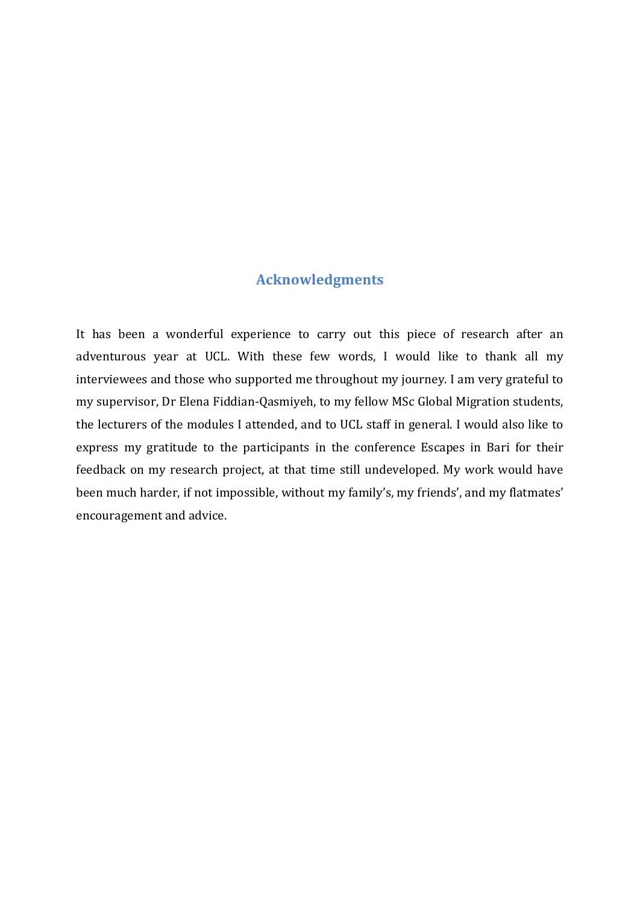## **Acknowledgments**

It has been a wonderful experience to carry out this piece of research after an adventurous year at UCL. With these few words, I would like to thank all my interviewees and those who supported me throughout my journey. I am very grateful to my supervisor, Dr Elena Fiddian-Qasmiyeh, to my fellow MSc Global Migration students, the lecturers of the modules I attended, and to UCL staff in general. I would also like to express my gratitude to the participants in the conference Escapes in Bari for their feedback on my research project, at that time still undeveloped. My work would have been much harder, if not impossible, without my family's, my friends', and my flatmates' encouragement and advice.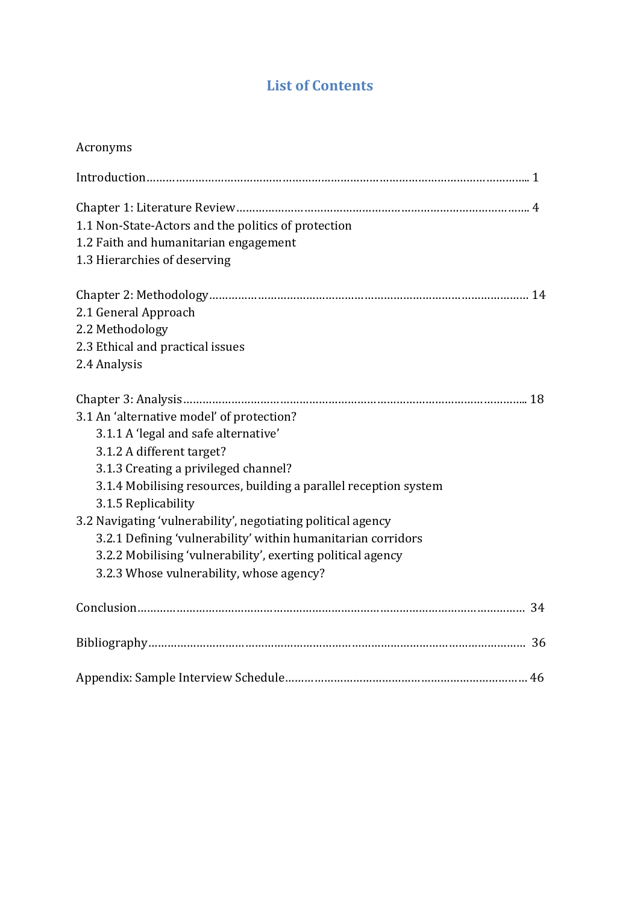## **List of Contents**

## Acronyms

| 1.1 Non-State-Actors and the politics of protection              |
|------------------------------------------------------------------|
| 1.2 Faith and humanitarian engagement                            |
| 1.3 Hierarchies of deserving                                     |
|                                                                  |
| 2.1 General Approach                                             |
| 2.2 Methodology                                                  |
| 2.3 Ethical and practical issues                                 |
| 2.4 Analysis                                                     |
|                                                                  |
| 3.1 An 'alternative model' of protection?                        |
| 3.1.1 A 'legal and safe alternative'                             |
| 3.1.2 A different target?                                        |
| 3.1.3 Creating a privileged channel?                             |
| 3.1.4 Mobilising resources, building a parallel reception system |
| 3.1.5 Replicability                                              |
| 3.2 Navigating 'vulnerability', negotiating political agency     |
| 3.2.1 Defining 'vulnerability' within humanitarian corridors     |
| 3.2.2 Mobilising 'vulnerability', exerting political agency      |
| 3.2.3 Whose vulnerability, whose agency?                         |
|                                                                  |
|                                                                  |
|                                                                  |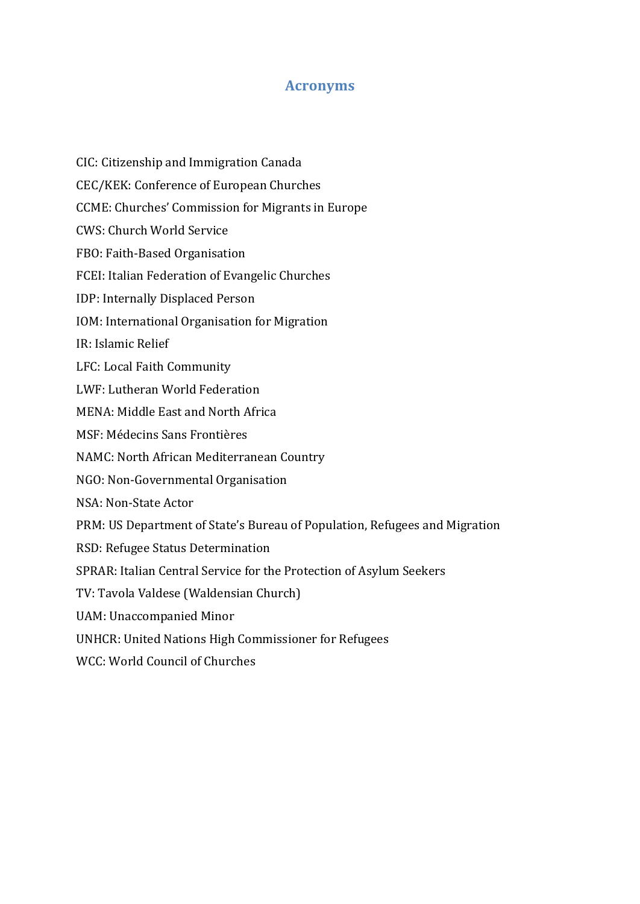## **Acronyms**

- CIC: Citizenship and Immigration Canada
- CEC/KEK: Conference of European Churches
- CCME: Churches' Commission for Migrants in Europe
- CWS: Church World Service
- FBO: Faith-Based Organisation
- FCEI: Italian Federation of Evangelic Churches
- IDP: Internally Displaced Person
- IOM: International Organisation for Migration
- IR: Islamic Relief
- LFC: Local Faith Community
- LWF: Lutheran World Federation
- MENA: Middle East and North Africa
- MSF: Médecins Sans Frontières
- NAMC: North African Mediterranean Country
- NGO: Non-Governmental Organisation
- NSA: Non-State Actor
- PRM: US Department of State's Bureau of Population, Refugees and Migration
- RSD: Refugee Status Determination
- SPRAR: Italian Central Service for the Protection of Asylum Seekers
- TV: Tavola Valdese (Waldensian Church)
- UAM: Unaccompanied Minor
- UNHCR: United Nations High Commissioner for Refugees
- WCC: World Council of Churches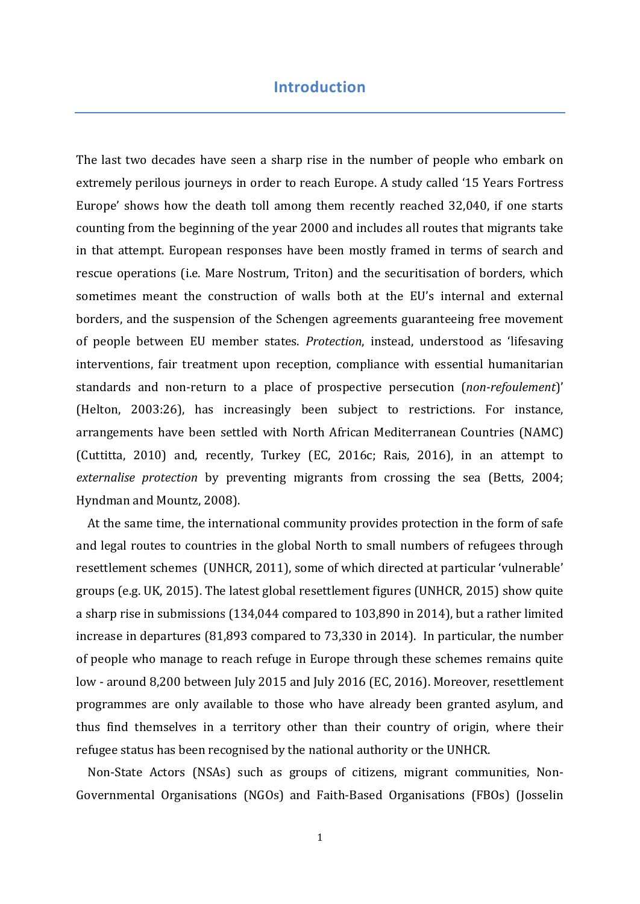## **Introduction**

The last two decades have seen a sharp rise in the number of people who embark on extremely perilous journeys in order to reach Europe. A study called '15 Years Fortress Europe' shows how the death toll among them recently reached 32,040, if one starts counting from the beginning of the year 2000 and includes all routes that migrants take in that attempt. European responses have been mostly framed in terms of search and rescue operations (i.e. Mare Nostrum, Triton) and the securitisation of borders, which sometimes meant the construction of walls both at the EU's internal and external borders, and the suspension of the Schengen agreements guaranteeing free movement of people between EU member states. *Protection*, instead, understood as 'lifesaving interventions, fair treatment upon reception, compliance with essential humanitarian standards and non-return to a place of prospective persecution (*non-refoulement*)' (Helton, 2003:26), has increasingly been subject to restrictions. For instance, arrangements have been settled with North African Mediterranean Countries (NAMC) (Cuttitta, 2010) and, recently, Turkey (EC, 2016c; Rais, 2016), in an attempt to *externalise protection* by preventing migrants from crossing the sea (Betts, 2004; Hyndman and Mountz, 2008).

 At the same time, the international community provides protection in the form of safe and legal routes to countries in the global North to small numbers of refugees through resettlement schemes (UNHCR, 2011), some of which directed at particular 'vulnerable' groups (e.g. UK, 2015). The latest global resettlement figures (UNHCR, 2015) show quite a sharp rise in submissions (134,044 compared to 103,890 in 2014), but a rather limited increase in departures (81,893 compared to 73,330 in 2014). In particular, the number of people who manage to reach refuge in Europe through these schemes remains quite low - around 8,200 between July 2015 and July 2016 (EC, 2016). Moreover, resettlement programmes are only available to those who have already been granted asylum, and thus find themselves in a territory other than their country of origin, where their refugee status has been recognised by the national authority or the UNHCR.

 Non-State Actors (NSAs) such as groups of citizens, migrant communities, Non-Governmental Organisations (NGOs) and Faith-Based Organisations (FBOs) (Josselin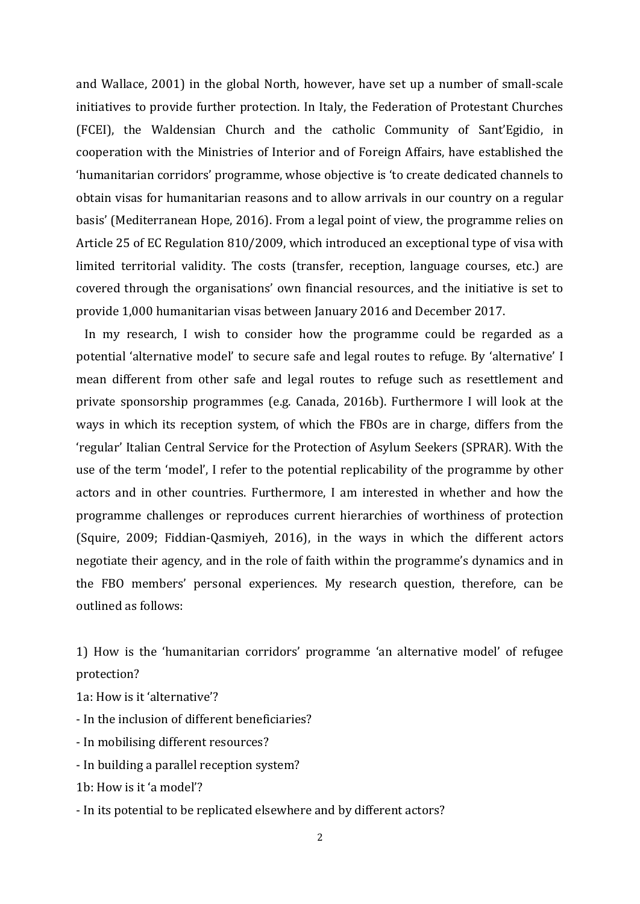and Wallace, 2001) in the global North, however, have set up a number of small-scale initiatives to provide further protection. In Italy, the Federation of Protestant Churches (FCEI), the Waldensian Church and the catholic Community of Sant'Egidio, in cooperation with the Ministries of Interior and of Foreign Affairs, have established the 'humanitarian corridors' programme, whose objective is 'to create dedicated channels to obtain visas for humanitarian reasons and to allow arrivals in our country on a regular basis' (Mediterranean Hope, 2016). From a legal point of view, the programme relies on Article 25 of EC Regulation 810/2009, which introduced an exceptional type of visa with limited territorial validity. The costs (transfer, reception, language courses, etc.) are covered through the organisations' own financial resources, and the initiative is set to provide 1,000 humanitarian visas between January 2016 and December 2017.

 In my research, I wish to consider how the programme could be regarded as a potential 'alternative model' to secure safe and legal routes to refuge. By 'alternative' I mean different from other safe and legal routes to refuge such as resettlement and private sponsorship programmes (e.g. Canada, 2016b). Furthermore I will look at the ways in which its reception system, of which the FBOs are in charge, differs from the 'regular' Italian Central Service for the Protection of Asylum Seekers (SPRAR). With the use of the term 'model', I refer to the potential replicability of the programme by other actors and in other countries. Furthermore, I am interested in whether and how the programme challenges or reproduces current hierarchies of worthiness of protection (Squire, 2009; Fiddian-Qasmiyeh, 2016), in the ways in which the different actors negotiate their agency, and in the role of faith within the programme's dynamics and in the FBO members' personal experiences. My research question, therefore, can be outlined as follows:

1) How is the 'humanitarian corridors' programme 'an alternative model' of refugee protection?

1a: How is it 'alternative'?

- In the inclusion of different beneficiaries?

- In mobilising different resources?

- In building a parallel reception system?

1b: How is it 'a model'?

- In its potential to be replicated elsewhere and by different actors?

2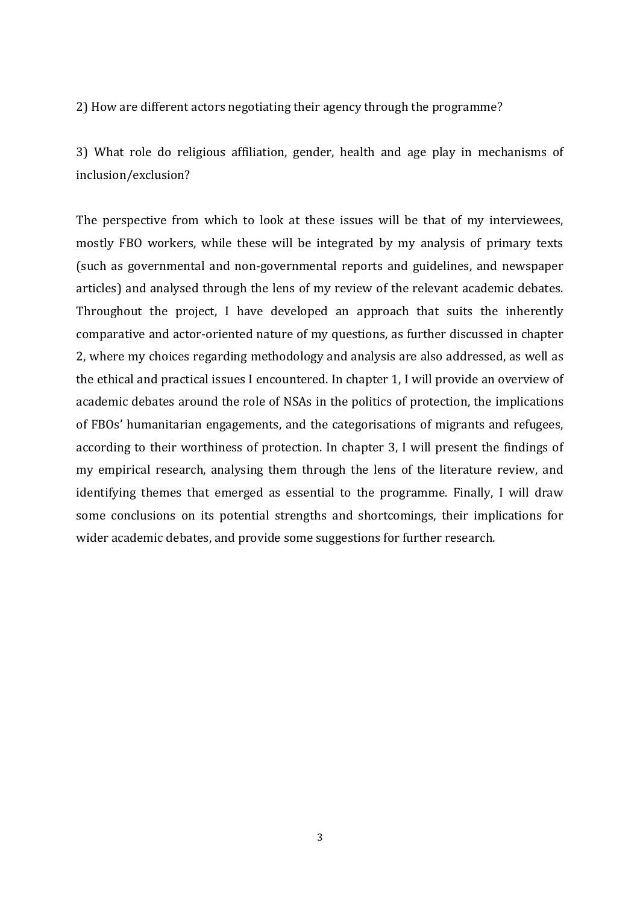2) How are different actors negotiating their agency through the programme?

3) What role do religious affiliation, gender, health and age play in mechanisms of inclusion/exclusion?

The perspective from which to look at these issues will be that of my interviewees, mostly FBO workers, while these will be integrated by my analysis of primary texts (such as governmental and non-governmental reports and guidelines, and newspaper articles) and analysed through the lens of my review of the relevant academic debates. Throughout the project, I have developed an approach that suits the inherently comparative and actor-oriented nature of my questions, as further discussed in chapter 2, where my choices regarding methodology and analysis are also addressed, as well as the ethical and practical issues I encountered. In chapter 1, I will provide an overview of academic debates around the role of NSAs in the politics of protection, the implications of FBOs' humanitarian engagements, and the categorisations of migrants and refugees, according to their worthiness of protection. In chapter 3, I will present the findings of my empirical research, analysing them through the lens of the literature review, and identifying themes that emerged as essential to the programme. Finally, I will draw some conclusions on its potential strengths and shortcomings, their implications for wider academic debates, and provide some suggestions for further research.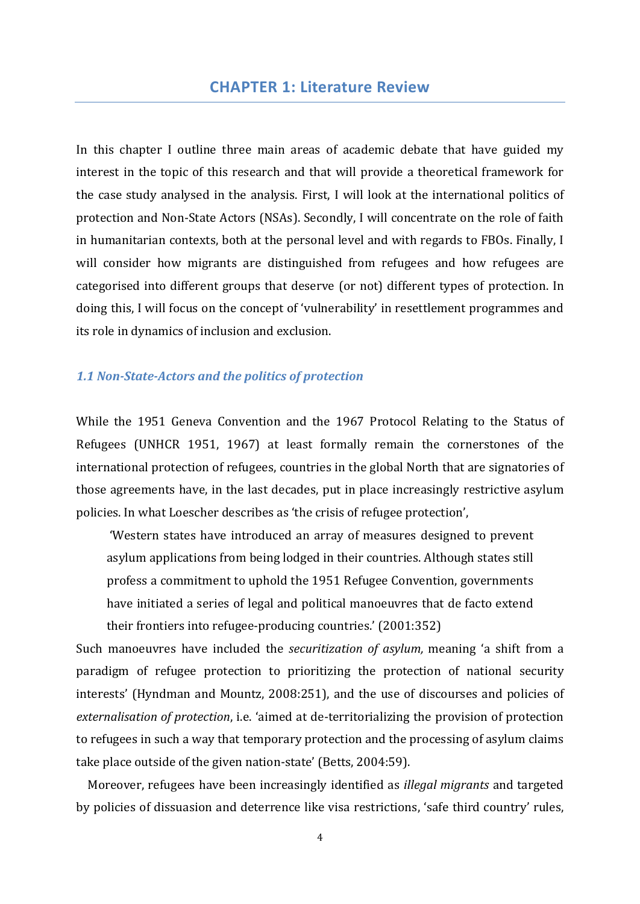In this chapter I outline three main areas of academic debate that have guided my interest in the topic of this research and that will provide a theoretical framework for the case study analysed in the analysis. First, I will look at the international politics of protection and Non-State Actors (NSAs). Secondly, I will concentrate on the role of faith in humanitarian contexts, both at the personal level and with regards to FBOs. Finally, I will consider how migrants are distinguished from refugees and how refugees are categorised into different groups that deserve (or not) different types of protection. In doing this, I will focus on the concept of 'vulnerability' in resettlement programmes and its role in dynamics of inclusion and exclusion.

## *1.1 Non-State-Actors and the politics of protection*

While the 1951 Geneva Convention and the 1967 Protocol Relating to the Status of Refugees (UNHCR 1951, 1967) at least formally remain the cornerstones of the international protection of refugees, countries in the global North that are signatories of those agreements have, in the last decades, put in place increasingly restrictive asylum policies. In what Loescher describes as 'the crisis of refugee protection',

 'Western states have introduced an array of measures designed to prevent asylum applications from being lodged in their countries. Although states still profess a commitment to uphold the 1951 Refugee Convention, governments have initiated a series of legal and political manoeuvres that de facto extend their frontiers into refugee-producing countries.' (2001:352)

Such manoeuvres have included the *securitization of asylum,* meaning 'a shift from a paradigm of refugee protection to prioritizing the protection of national security interests' (Hyndman and Mountz, 2008:251), and the use of discourses and policies of *externalisation of protection*, i.e. 'aimed at de-territorializing the provision of protection to refugees in such a way that temporary protection and the processing of asylum claims take place outside of the given nation-state' (Betts, 2004:59).

 Moreover, refugees have been increasingly identified as *illegal migrants* and targeted by policies of dissuasion and deterrence like visa restrictions, 'safe third country' rules,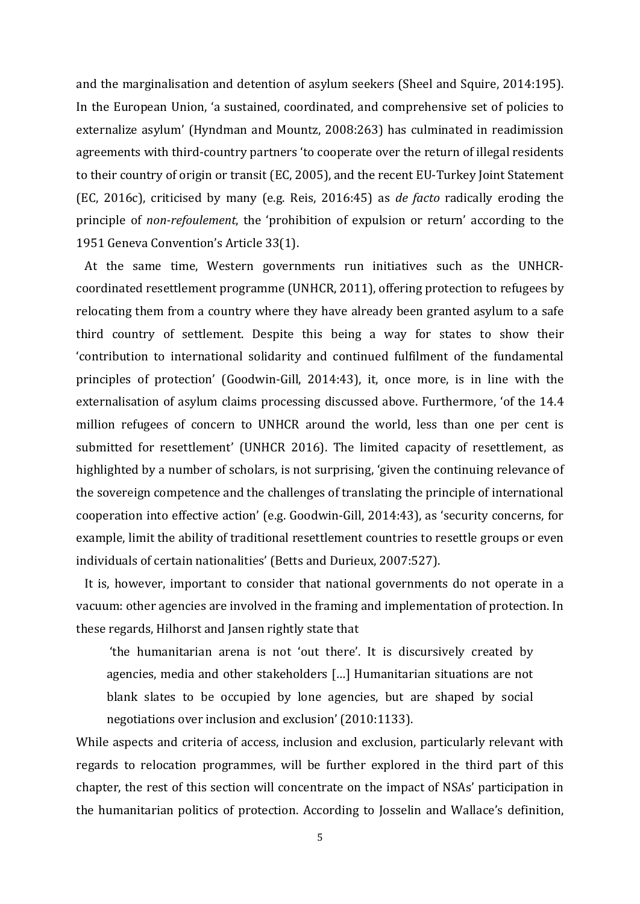and the marginalisation and detention of asylum seekers (Sheel and Squire, 2014:195). In the European Union, 'a sustained, coordinated, and comprehensive set of policies to externalize asylum' (Hyndman and Mountz, 2008:263) has culminated in readimission agreements with third-country partners 'to cooperate over the return of illegal residents to their country of origin or transit (EC, 2005), and the recent EU-Turkey Joint Statement (EC, 2016c), criticised by many (e.g. Reis, 2016:45) as *de facto* radically eroding the principle of *non-refoulement*, the 'prohibition of expulsion or return' according to the 1951 Geneva Convention's Article 33(1).

 At the same time, Western governments run initiatives such as the UNHCRcoordinated resettlement programme (UNHCR, 2011), offering protection to refugees by relocating them from a country where they have already been granted asylum to a safe third country of settlement. Despite this being a way for states to show their 'contribution to international solidarity and continued fulfilment of the fundamental principles of protection' (Goodwin-Gill, 2014:43), it, once more, is in line with the externalisation of asylum claims processing discussed above. Furthermore, 'of the 14.4 million refugees of concern to UNHCR around the world, less than one per cent is submitted for resettlement' (UNHCR 2016). The limited capacity of resettlement, as highlighted by a number of scholars, is not surprising, 'given the continuing relevance of the sovereign competence and the challenges of translating the principle of international cooperation into effective action' (e.g. Goodwin-Gill, 2014:43), as 'security concerns, for example, limit the ability of traditional resettlement countries to resettle groups or even individuals of certain nationalities' (Betts and Durieux, 2007:527).

 It is, however, important to consider that national governments do not operate in a vacuum: other agencies are involved in the framing and implementation of protection. In these regards, Hilhorst and Jansen rightly state that

 'the humanitarian arena is not 'out there'. It is discursively created by agencies, media and other stakeholders […] Humanitarian situations are not blank slates to be occupied by lone agencies, but are shaped by social negotiations over inclusion and exclusion' (2010:1133).

While aspects and criteria of access, inclusion and exclusion, particularly relevant with regards to relocation programmes, will be further explored in the third part of this chapter, the rest of this section will concentrate on the impact of NSAs' participation in the humanitarian politics of protection. According to Josselin and Wallace's definition,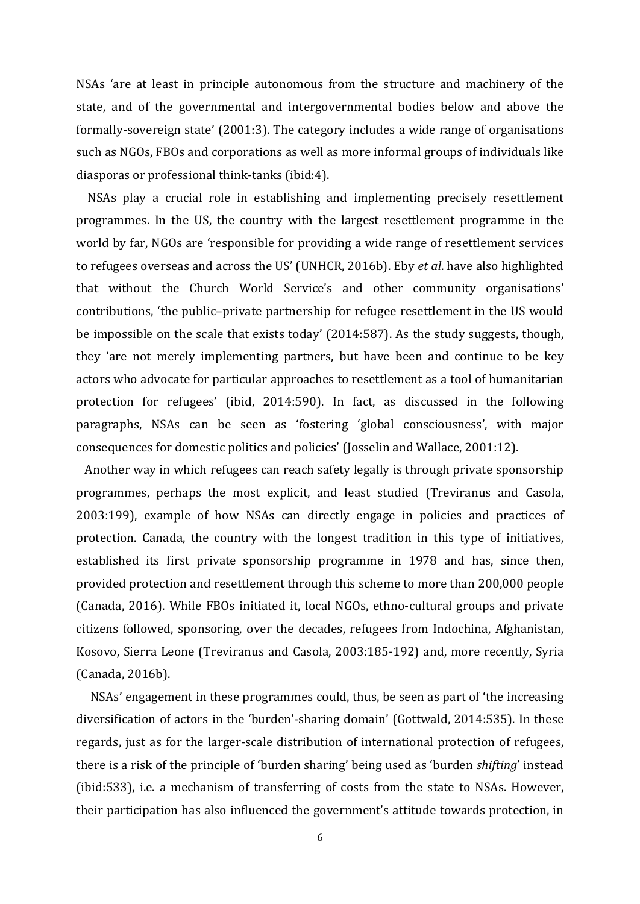NSAs 'are at least in principle autonomous from the structure and machinery of the state, and of the governmental and intergovernmental bodies below and above the formally-sovereign state' (2001:3). The category includes a wide range of organisations such as NGOs, FBOs and corporations as well as more informal groups of individuals like diasporas or professional think-tanks (ibid:4).

 NSAs play a crucial role in establishing and implementing precisely resettlement programmes. In the US, the country with the largest resettlement programme in the world by far, NGOs are 'responsible for providing a wide range of resettlement services to refugees overseas and across the US' (UNHCR, 2016b). Eby *et al*. have also highlighted that without the Church World Service's and other community organisations' contributions, 'the public–private partnership for refugee resettlement in the US would be impossible on the scale that exists today' (2014:587). As the study suggests, though, they 'are not merely implementing partners, but have been and continue to be key actors who advocate for particular approaches to resettlement as a tool of humanitarian protection for refugees' (ibid, 2014:590). In fact, as discussed in the following paragraphs, NSAs can be seen as 'fostering 'global consciousness', with major consequences for domestic politics and policies' (Josselin and Wallace, 2001:12).

 Another way in which refugees can reach safety legally is through private sponsorship programmes, perhaps the most explicit, and least studied (Treviranus and Casola, 2003:199), example of how NSAs can directly engage in policies and practices of protection. Canada, the country with the longest tradition in this type of initiatives, established its first private sponsorship programme in 1978 and has, since then, provided protection and resettlement through this scheme to more than 200,000 people (Canada, 2016). While FBOs initiated it, local NGOs, ethno-cultural groups and private citizens followed, sponsoring, over the decades, refugees from Indochina, Afghanistan, Kosovo, Sierra Leone (Treviranus and Casola, 2003:185-192) and, more recently, Syria (Canada, 2016b).

 NSAs' engagement in these programmes could, thus, be seen as part of 'the increasing diversification of actors in the 'burden'-sharing domain' (Gottwald, 2014:535). In these regards, just as for the larger-scale distribution of international protection of refugees, there is a risk of the principle of 'burden sharing' being used as 'burden *shifting*' instead (ibid:533), i.e. a mechanism of transferring of costs from the state to NSAs. However, their participation has also influenced the government's attitude towards protection, in

6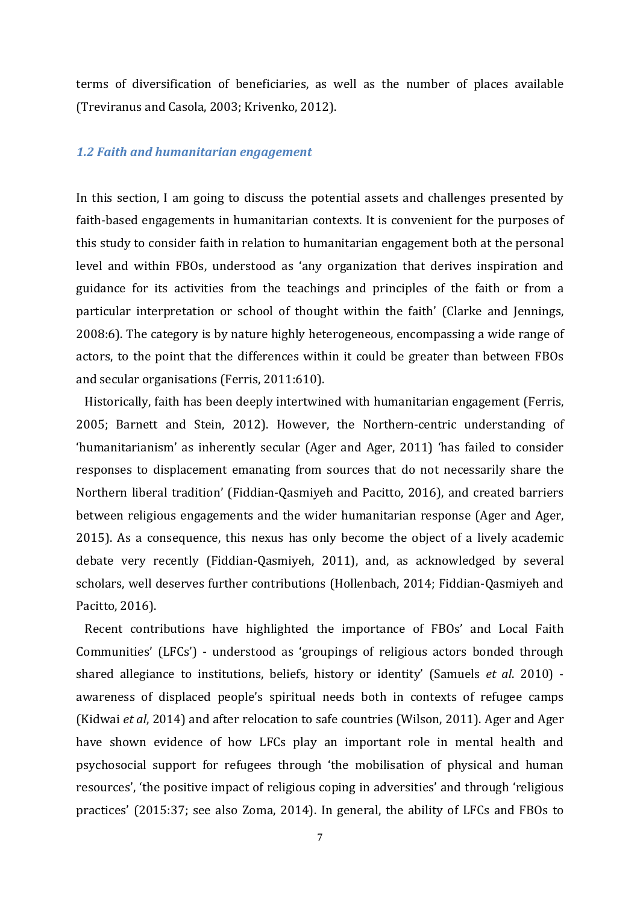terms of diversification of beneficiaries, as well as the number of places available (Treviranus and Casola, 2003; Krivenko, 2012).

### *1.2 Faith and humanitarian engagement*

In this section, I am going to discuss the potential assets and challenges presented by faith-based engagements in humanitarian contexts. It is convenient for the purposes of this study to consider faith in relation to humanitarian engagement both at the personal level and within FBOs, understood as 'any organization that derives inspiration and guidance for its activities from the teachings and principles of the faith or from a particular interpretation or school of thought within the faith' (Clarke and Jennings, 2008:6). The category is by nature highly heterogeneous, encompassing a wide range of actors, to the point that the differences within it could be greater than between FBOs and secular organisations (Ferris, 2011:610).

 Historically, faith has been deeply intertwined with humanitarian engagement (Ferris, 2005; Barnett and Stein, 2012). However, the Northern-centric understanding of 'humanitarianism' as inherently secular (Ager and Ager, 2011) 'has failed to consider responses to displacement emanating from sources that do not necessarily share the Northern liberal tradition' (Fiddian-Qasmiyeh and Pacitto, 2016), and created barriers between religious engagements and the wider humanitarian response (Ager and Ager, 2015). As a consequence, this nexus has only become the object of a lively academic debate very recently (Fiddian-Qasmiyeh, 2011), and, as acknowledged by several scholars, well deserves further contributions (Hollenbach, 2014; Fiddian-Qasmiyeh and Pacitto, 2016).

 Recent contributions have highlighted the importance of FBOs' and Local Faith Communities' (LFCs') - understood as 'groupings of religious actors bonded through shared allegiance to institutions, beliefs, history or identity' (Samuels *et al*. 2010) awareness of displaced people's spiritual needs both in contexts of refugee camps (Kidwai *et al*, 2014) and after relocation to safe countries (Wilson, 2011). Ager and Ager have shown evidence of how LFCs play an important role in mental health and psychosocial support for refugees through 'the mobilisation of physical and human resources', 'the positive impact of religious coping in adversities' and through 'religious practices' (2015:37; see also Zoma, 2014). In general, the ability of LFCs and FBOs to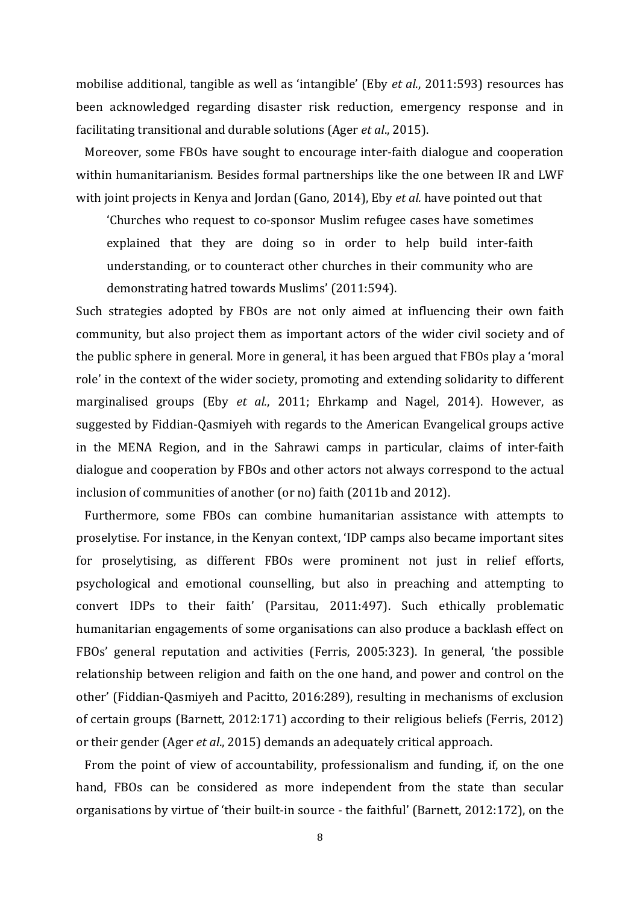mobilise additional, tangible as well as 'intangible' (Eby *et al*., 2011:593) resources has been acknowledged regarding disaster risk reduction, emergency response and in facilitating transitional and durable solutions (Ager *et al*., 2015).

 Moreover, some FBOs have sought to encourage inter-faith dialogue and cooperation within humanitarianism. Besides formal partnerships like the one between IR and LWF with joint projects in Kenya and Jordan (Gano, 2014), Eby *et al.* have pointed out that

'Churches who request to co-sponsor Muslim refugee cases have sometimes explained that they are doing so in order to help build inter-faith understanding, or to counteract other churches in their community who are demonstrating hatred towards Muslims' (2011:594).

Such strategies adopted by FBOs are not only aimed at influencing their own faith community, but also project them as important actors of the wider civil society and of the public sphere in general. More in general, it has been argued that FBOs play a 'moral role' in the context of the wider society, promoting and extending solidarity to different marginalised groups (Eby *et al.*, 2011; Ehrkamp and Nagel, 2014). However, as suggested by Fiddian-Qasmiyeh with regards to the American Evangelical groups active in the MENA Region, and in the Sahrawi camps in particular, claims of inter-faith dialogue and cooperation by FBOs and other actors not always correspond to the actual inclusion of communities of another (or no) faith (2011b and 2012).

 Furthermore, some FBOs can combine humanitarian assistance with attempts to proselytise. For instance, in the Kenyan context, 'IDP camps also became important sites for proselytising, as different FBOs were prominent not just in relief efforts, psychological and emotional counselling, but also in preaching and attempting to convert IDPs to their faith' (Parsitau, 2011:497). Such ethically problematic humanitarian engagements of some organisations can also produce a backlash effect on FBOs' general reputation and activities (Ferris, 2005:323). In general, 'the possible relationship between religion and faith on the one hand, and power and control on the other' (Fiddian-Qasmiyeh and Pacitto, 2016:289), resulting in mechanisms of exclusion of certain groups (Barnett, 2012:171) according to their religious beliefs (Ferris, 2012) or their gender (Ager *et al*., 2015) demands an adequately critical approach.

 From the point of view of accountability, professionalism and funding, if, on the one hand, FBOs can be considered as more independent from the state than secular organisations by virtue of 'their built-in source - the faithful' (Barnett, 2012:172), on the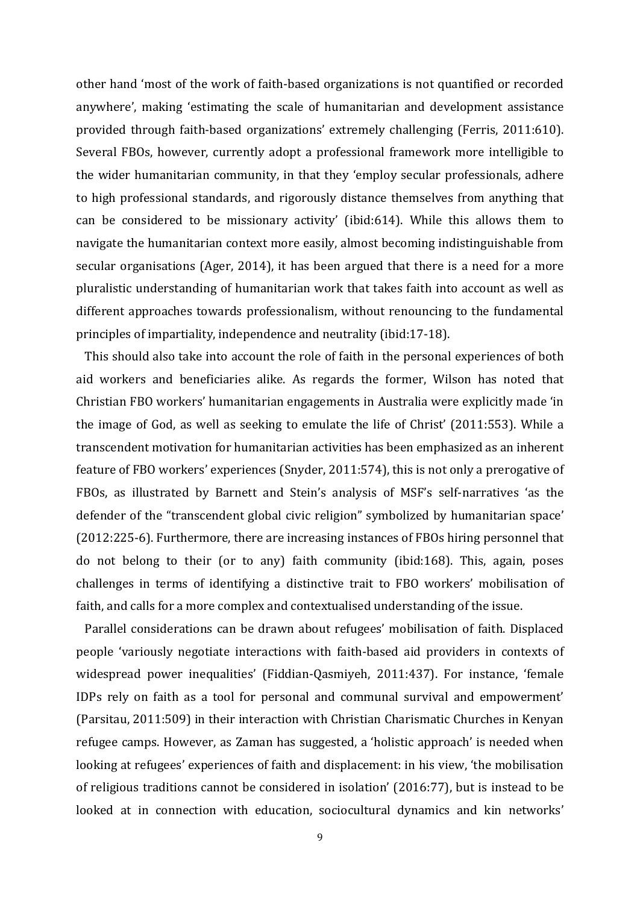other hand 'most of the work of faith-based organizations is not quantified or recorded anywhere', making 'estimating the scale of humanitarian and development assistance provided through faith-based organizations' extremely challenging (Ferris, 2011:610). Several FBOs, however, currently adopt a professional framework more intelligible to the wider humanitarian community, in that they 'employ secular professionals, adhere to high professional standards, and rigorously distance themselves from anything that can be considered to be missionary activity' (ibid:614). While this allows them to navigate the humanitarian context more easily, almost becoming indistinguishable from secular organisations (Ager, 2014), it has been argued that there is a need for a more pluralistic understanding of humanitarian work that takes faith into account as well as different approaches towards professionalism, without renouncing to the fundamental principles of impartiality, independence and neutrality (ibid:17-18).

 This should also take into account the role of faith in the personal experiences of both aid workers and beneficiaries alike. As regards the former, Wilson has noted that Christian FBO workers' humanitarian engagements in Australia were explicitly made 'in the image of God, as well as seeking to emulate the life of Christ' (2011:553). While a transcendent motivation for humanitarian activities has been emphasized as an inherent feature of FBO workers' experiences (Snyder, 2011:574), this is not only a prerogative of FBOs, as illustrated by Barnett and Stein's analysis of MSF's self-narratives 'as the defender of the "transcendent global civic religion" symbolized by humanitarian space' (2012:225-6). Furthermore, there are increasing instances of FBOs hiring personnel that do not belong to their (or to any) faith community (ibid:168). This, again, poses challenges in terms of identifying a distinctive trait to FBO workers' mobilisation of faith, and calls for a more complex and contextualised understanding of the issue.

 Parallel considerations can be drawn about refugees' mobilisation of faith. Displaced people 'variously negotiate interactions with faith-based aid providers in contexts of widespread power inequalities' (Fiddian-Qasmiyeh, 2011:437). For instance, 'female IDPs rely on faith as a tool for personal and communal survival and empowerment' (Parsitau, 2011:509) in their interaction with Christian Charismatic Churches in Kenyan refugee camps. However, as Zaman has suggested, a 'holistic approach' is needed when looking at refugees' experiences of faith and displacement: in his view, 'the mobilisation of religious traditions cannot be considered in isolation' (2016:77), but is instead to be looked at in connection with education, sociocultural dynamics and kin networks'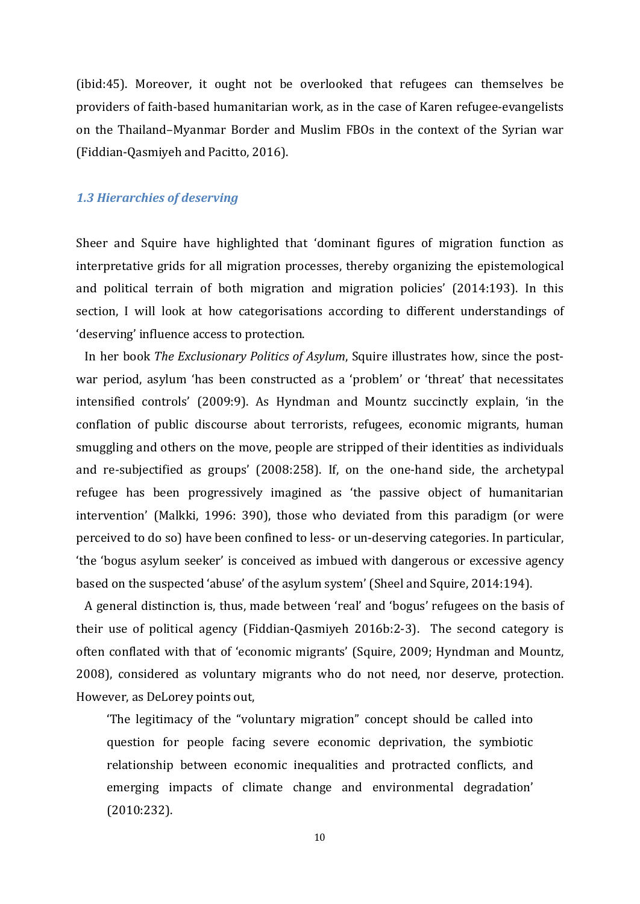(ibid:45). Moreover, it ought not be overlooked that refugees can themselves be providers of faith-based humanitarian work, as in the case of Karen refugee-evangelists on the Thailand–Myanmar Border and Muslim FBOs in the context of the Syrian war (Fiddian-Qasmiyeh and Pacitto, 2016).

### *1.3 Hierarchies of deserving*

Sheer and Squire have highlighted that 'dominant figures of migration function as interpretative grids for all migration processes, thereby organizing the epistemological and political terrain of both migration and migration policies' (2014:193). In this section, I will look at how categorisations according to different understandings of 'deserving' influence access to protection.

 In her book *The Exclusionary Politics of Asylum*, Squire illustrates how, since the postwar period, asylum 'has been constructed as a 'problem' or 'threat' that necessitates intensified controls' (2009:9). As Hyndman and Mountz succinctly explain, 'in the conflation of public discourse about terrorists, refugees, economic migrants, human smuggling and others on the move, people are stripped of their identities as individuals and re-subjectified as groups' (2008:258). If, on the one-hand side, the archetypal refugee has been progressively imagined as 'the passive object of humanitarian intervention' (Malkki, 1996: 390), those who deviated from this paradigm (or were perceived to do so) have been confined to less- or un-deserving categories. In particular, 'the 'bogus asylum seeker' is conceived as imbued with dangerous or excessive agency based on the suspected 'abuse' of the asylum system' (Sheel and Squire, 2014:194).

 A general distinction is, thus, made between 'real' and 'bogus' refugees on the basis of their use of political agency (Fiddian-Qasmiyeh 2016b:2-3). The second category is often conflated with that of 'economic migrants' (Squire, 2009; Hyndman and Mountz, 2008), considered as voluntary migrants who do not need, nor deserve, protection. However, as DeLorey points out,

'The legitimacy of the "voluntary migration" concept should be called into question for people facing severe economic deprivation, the symbiotic relationship between economic inequalities and protracted conflicts, and emerging impacts of climate change and environmental degradation' (2010:232).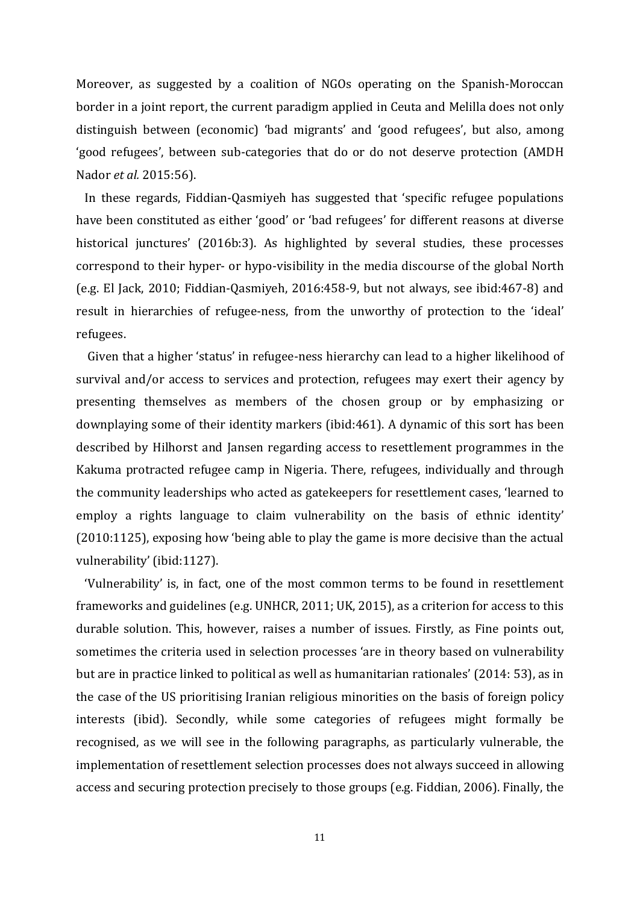Moreover, as suggested by a coalition of NGOs operating on the Spanish-Moroccan border in a joint report, the current paradigm applied in Ceuta and Melilla does not only distinguish between (economic) 'bad migrants' and 'good refugees', but also, among 'good refugees', between sub-categories that do or do not deserve protection (AMDH Nador *et al.* 2015:56).

 In these regards, Fiddian-Qasmiyeh has suggested that 'specific refugee populations have been constituted as either 'good' or 'bad refugees' for different reasons at diverse historical junctures' (2016b:3). As highlighted by several studies, these processes correspond to their hyper- or hypo-visibility in the media discourse of the global North (e.g. El Jack, 2010; Fiddian-Qasmiyeh, 2016:458-9, but not always, see ibid:467-8) and result in hierarchies of refugee-ness, from the unworthy of protection to the 'ideal' refugees.

 Given that a higher 'status' in refugee-ness hierarchy can lead to a higher likelihood of survival and/or access to services and protection, refugees may exert their agency by presenting themselves as members of the chosen group or by emphasizing or downplaying some of their identity markers (ibid:461). A dynamic of this sort has been described by Hilhorst and Jansen regarding access to resettlement programmes in the Kakuma protracted refugee camp in Nigeria. There, refugees, individually and through the community leaderships who acted as gatekeepers for resettlement cases, 'learned to employ a rights language to claim vulnerability on the basis of ethnic identity' (2010:1125), exposing how 'being able to play the game is more decisive than the actual vulnerability' (ibid:1127).

 'Vulnerability' is, in fact, one of the most common terms to be found in resettlement frameworks and guidelines (e.g. UNHCR, 2011; UK, 2015), as a criterion for access to this durable solution. This, however, raises a number of issues. Firstly, as Fine points out, sometimes the criteria used in selection processes 'are in theory based on vulnerability but are in practice linked to political as well as humanitarian rationales' (2014: 53), as in the case of the US prioritising Iranian religious minorities on the basis of foreign policy interests (ibid). Secondly, while some categories of refugees might formally be recognised, as we will see in the following paragraphs, as particularly vulnerable, the implementation of resettlement selection processes does not always succeed in allowing access and securing protection precisely to those groups (e.g. Fiddian, 2006). Finally, the

11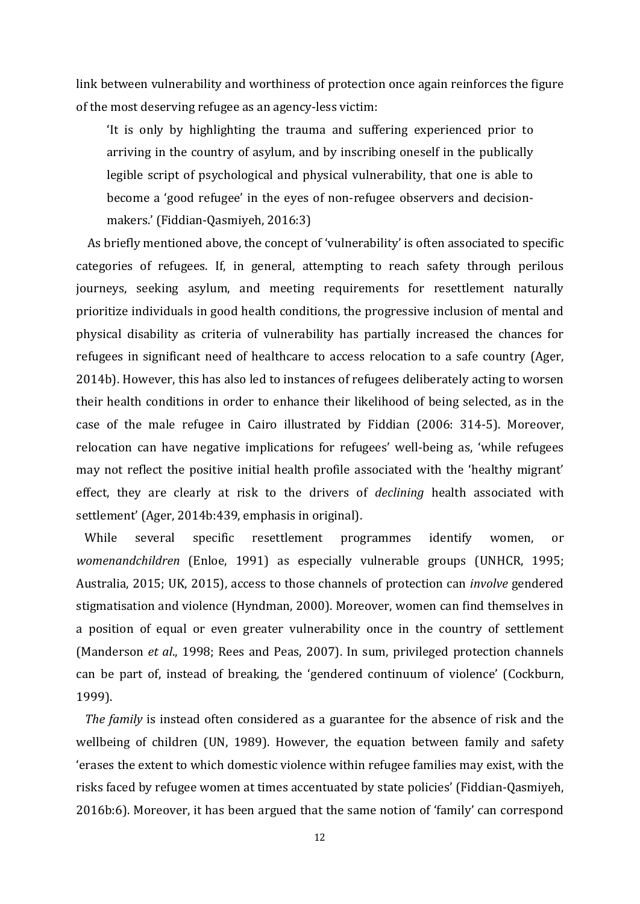link between vulnerability and worthiness of protection once again reinforces the figure of the most deserving refugee as an agency-less victim:

'It is only by highlighting the trauma and suffering experienced prior to arriving in the country of asylum, and by inscribing oneself in the publically legible script of psychological and physical vulnerability, that one is able to become a 'good refugee' in the eyes of non-refugee observers and decisionmakers.' (Fiddian-Qasmiyeh, 2016:3)

 As briefly mentioned above, the concept of 'vulnerability' is often associated to specific categories of refugees. If, in general, attempting to reach safety through perilous journeys, seeking asylum, and meeting requirements for resettlement naturally prioritize individuals in good health conditions, the progressive inclusion of mental and physical disability as criteria of vulnerability has partially increased the chances for refugees in significant need of healthcare to access relocation to a safe country (Ager, 2014b). However, this has also led to instances of refugees deliberately acting to worsen their health conditions in order to enhance their likelihood of being selected, as in the case of the male refugee in Cairo illustrated by Fiddian (2006: 314-5). Moreover, relocation can have negative implications for refugees' well-being as, 'while refugees may not reflect the positive initial health profile associated with the 'healthy migrant' effect, they are clearly at risk to the drivers of *declining* health associated with settlement' (Ager, 2014b:439, emphasis in original).

 While several specific resettlement programmes identify women, or *womenandchildren* (Enloe, 1991) as especially vulnerable groups (UNHCR, 1995; Australia, 2015; UK, 2015), access to those channels of protection can *involve* gendered stigmatisation and violence (Hyndman, 2000). Moreover, women can find themselves in a position of equal or even greater vulnerability once in the country of settlement (Manderson *et al*., 1998; Rees and Peas, 2007). In sum, privileged protection channels can be part of, instead of breaking, the 'gendered continuum of violence' (Cockburn, 1999).

 *The family* is instead often considered as a guarantee for the absence of risk and the wellbeing of children (UN, 1989). However, the equation between family and safety 'erases the extent to which domestic violence within refugee families may exist, with the risks faced by refugee women at times accentuated by state policies' (Fiddian-Qasmiyeh, 2016b:6). Moreover, it has been argued that the same notion of 'family' can correspond

12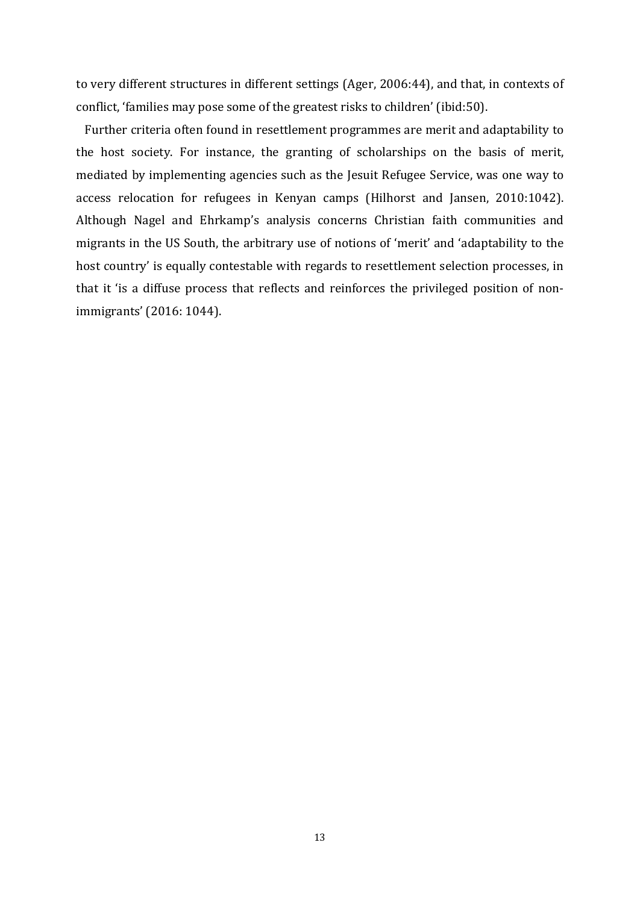to very different structures in different settings (Ager, 2006:44), and that, in contexts of conflict, 'families may pose some of the greatest risks to children' (ibid:50).

 Further criteria often found in resettlement programmes are merit and adaptability to the host society. For instance, the granting of scholarships on the basis of merit, mediated by implementing agencies such as the Jesuit Refugee Service, was one way to access relocation for refugees in Kenyan camps (Hilhorst and Jansen, 2010:1042). Although Nagel and Ehrkamp's analysis concerns Christian faith communities and migrants in the US South, the arbitrary use of notions of 'merit' and 'adaptability to the host country' is equally contestable with regards to resettlement selection processes, in that it 'is a diffuse process that reflects and reinforces the privileged position of nonimmigrants' (2016: 1044).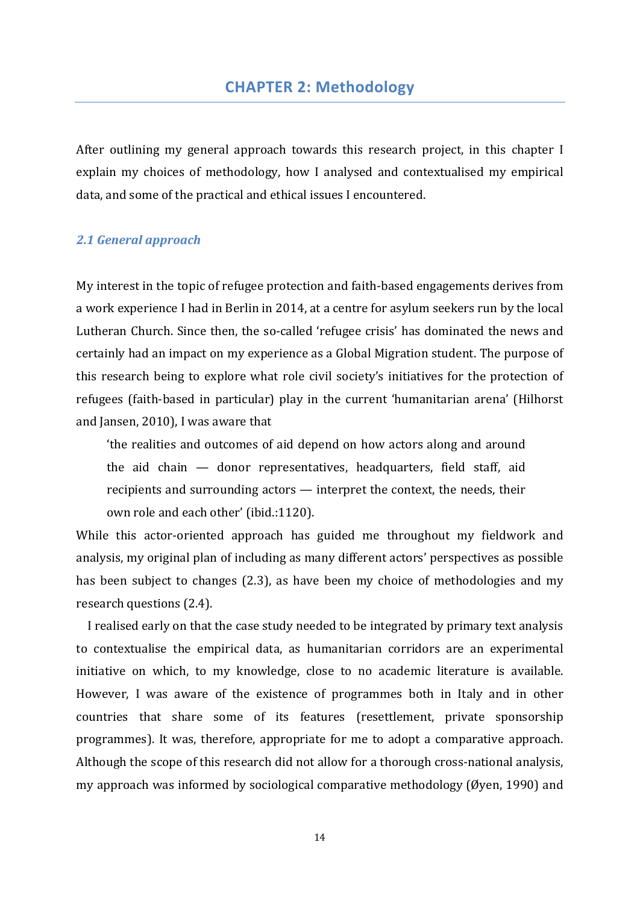After outlining my general approach towards this research project, in this chapter I explain my choices of methodology, how I analysed and contextualised my empirical data, and some of the practical and ethical issues I encountered.

## *2.1 General approach*

My interest in the topic of refugee protection and faith-based engagements derives from a work experience I had in Berlin in 2014, at a centre for asylum seekers run by the local Lutheran Church. Since then, the so-called 'refugee crisis' has dominated the news and certainly had an impact on my experience as a Global Migration student. The purpose of this research being to explore what role civil society's initiatives for the protection of refugees (faith-based in particular) play in the current 'humanitarian arena' (Hilhorst and Jansen, 2010), I was aware that

'the realities and outcomes of aid depend on how actors along and around the aid chain — donor representatives, headquarters, field staff, aid recipients and surrounding actors — interpret the context, the needs, their own role and each other' (ibid.:1120).

While this actor-oriented approach has guided me throughout my fieldwork and analysis, my original plan of including as many different actors' perspectives as possible has been subject to changes (2.3), as have been my choice of methodologies and my research questions (2.4).

 I realised early on that the case study needed to be integrated by primary text analysis to contextualise the empirical data, as humanitarian corridors are an experimental initiative on which, to my knowledge, close to no academic literature is available. However, I was aware of the existence of programmes both in Italy and in other countries that share some of its features (resettlement, private sponsorship programmes). It was, therefore, appropriate for me to adopt a comparative approach. Although the scope of this research did not allow for a thorough cross-national analysis, my approach was informed by sociological comparative methodology (Øyen, 1990) and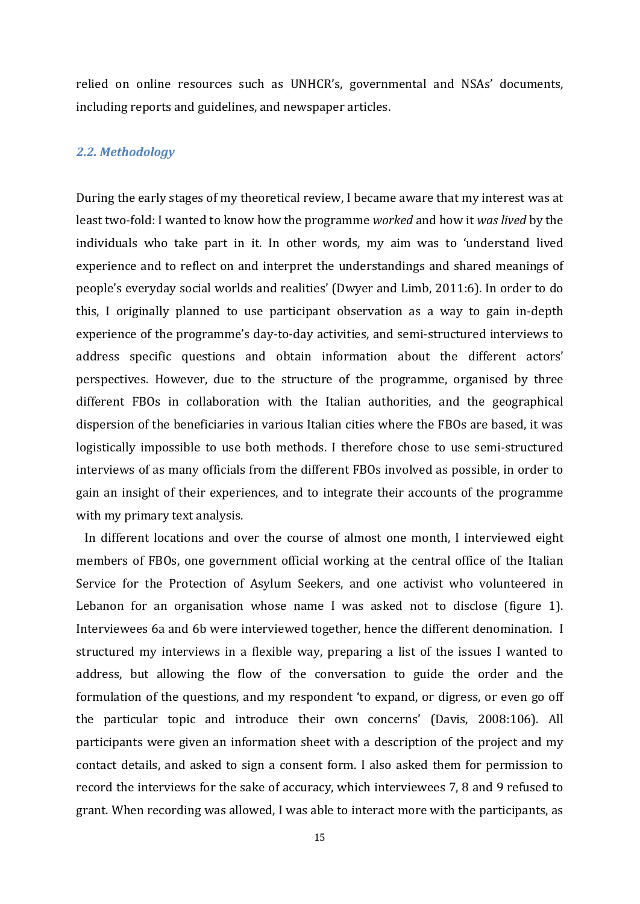relied on online resources such as UNHCR's, governmental and NSAs' documents, including reports and guidelines, and newspaper articles.

### *2.2. Methodology*

During the early stages of my theoretical review, I became aware that my interest was at least two-fold: I wanted to know how the programme *worked* and how it *was lived* by the individuals who take part in it. In other words, my aim was to 'understand lived experience and to reflect on and interpret the understandings and shared meanings of people's everyday social worlds and realities' (Dwyer and Limb, 2011:6). In order to do this, I originally planned to use participant observation as a way to gain in-depth experience of the programme's day-to-day activities, and semi-structured interviews to address specific questions and obtain information about the different actors' perspectives. However, due to the structure of the programme, organised by three different FBOs in collaboration with the Italian authorities, and the geographical dispersion of the beneficiaries in various Italian cities where the FBOs are based, it was logistically impossible to use both methods. I therefore chose to use semi-structured interviews of as many officials from the different FBOs involved as possible, in order to gain an insight of their experiences, and to integrate their accounts of the programme with my primary text analysis.

 In different locations and over the course of almost one month, I interviewed eight members of FBOs, one government official working at the central office of the Italian Service for the Protection of Asylum Seekers, and one activist who volunteered in Lebanon for an organisation whose name I was asked not to disclose (figure 1). Interviewees 6a and 6b were interviewed together, hence the different denomination. I structured my interviews in a flexible way, preparing a list of the issues I wanted to address, but allowing the flow of the conversation to guide the order and the formulation of the questions, and my respondent 'to expand, or digress, or even go off the particular topic and introduce their own concerns' (Davis, 2008:106). All participants were given an information sheet with a description of the project and my contact details, and asked to sign a consent form. I also asked them for permission to record the interviews for the sake of accuracy, which interviewees 7, 8 and 9 refused to grant. When recording was allowed, I was able to interact more with the participants, as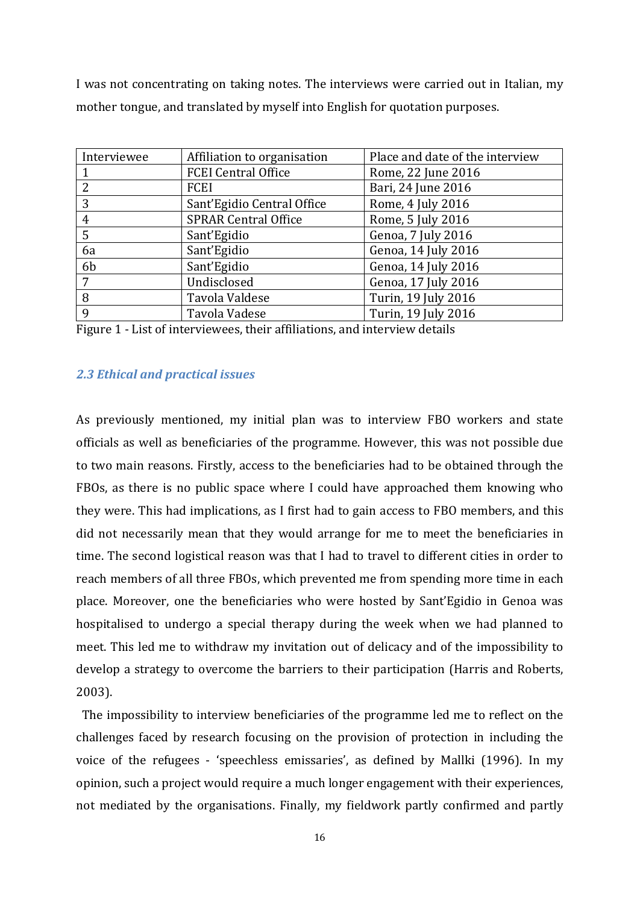I was not concentrating on taking notes. The interviews were carried out in Italian, my mother tongue, and translated by myself into English for quotation purposes.

| Interviewee    | Affiliation to organisation | Place and date of the interview |
|----------------|-----------------------------|---------------------------------|
|                | <b>FCEI Central Office</b>  | Rome, 22 June 2016              |
| $\overline{2}$ | FCEI                        | Bari, 24 June 2016              |
| 3              | Sant'Egidio Central Office  | Rome, 4 July 2016               |
| 4              | <b>SPRAR Central Office</b> | Rome, 5 July 2016               |
| 5              | Sant'Egidio                 | Genoa, 7 July 2016              |
| 6a             | Sant'Egidio                 | Genoa, 14 July 2016             |
| 6 <sub>b</sub> | Sant'Egidio                 | Genoa, 14 July 2016             |
| 7              | Undisclosed                 | Genoa, 17 July 2016             |
| 8              | Tavola Valdese              | Turin, 19 July 2016             |
| 9              | Tavola Vadese               | Turin, 19 July 2016             |

Figure 1 - List of interviewees, their affiliations, and interview details

## *2.3 Ethical and practical issues*

As previously mentioned, my initial plan was to interview FBO workers and state officials as well as beneficiaries of the programme. However, this was not possible due to two main reasons. Firstly, access to the beneficiaries had to be obtained through the FBOs, as there is no public space where I could have approached them knowing who they were. This had implications, as I first had to gain access to FBO members, and this did not necessarily mean that they would arrange for me to meet the beneficiaries in time. The second logistical reason was that I had to travel to different cities in order to reach members of all three FBOs, which prevented me from spending more time in each place. Moreover, one the beneficiaries who were hosted by Sant'Egidio in Genoa was hospitalised to undergo a special therapy during the week when we had planned to meet. This led me to withdraw my invitation out of delicacy and of the impossibility to develop a strategy to overcome the barriers to their participation (Harris and Roberts, 2003).

 The impossibility to interview beneficiaries of the programme led me to reflect on the challenges faced by research focusing on the provision of protection in including the voice of the refugees - 'speechless emissaries', as defined by Mallki (1996). In my opinion, such a project would require a much longer engagement with their experiences, not mediated by the organisations. Finally, my fieldwork partly confirmed and partly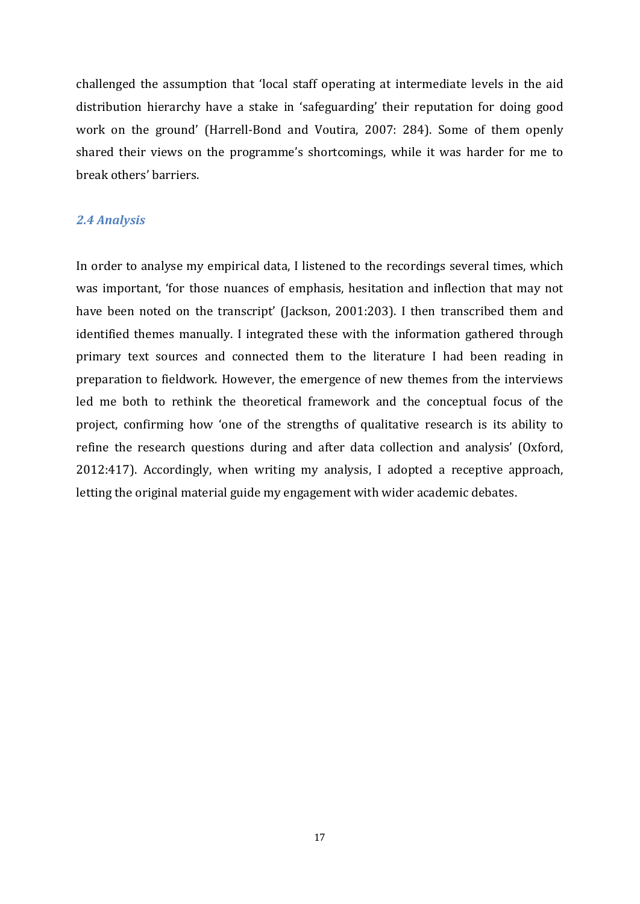challenged the assumption that 'local staff operating at intermediate levels in the aid distribution hierarchy have a stake in 'safeguarding' their reputation for doing good work on the ground' (Harrell-Bond and Voutira, 2007: 284). Some of them openly shared their views on the programme's shortcomings, while it was harder for me to break others' barriers.

## *2.4 Analysis*

In order to analyse my empirical data, I listened to the recordings several times, which was important, 'for those nuances of emphasis, hesitation and inflection that may not have been noted on the transcript' (Jackson, 2001:203). I then transcribed them and identified themes manually. I integrated these with the information gathered through primary text sources and connected them to the literature I had been reading in preparation to fieldwork. However, the emergence of new themes from the interviews led me both to rethink the theoretical framework and the conceptual focus of the project, confirming how 'one of the strengths of qualitative research is its ability to refine the research questions during and after data collection and analysis' (Oxford, 2012:417). Accordingly, when writing my analysis, I adopted a receptive approach, letting the original material guide my engagement with wider academic debates.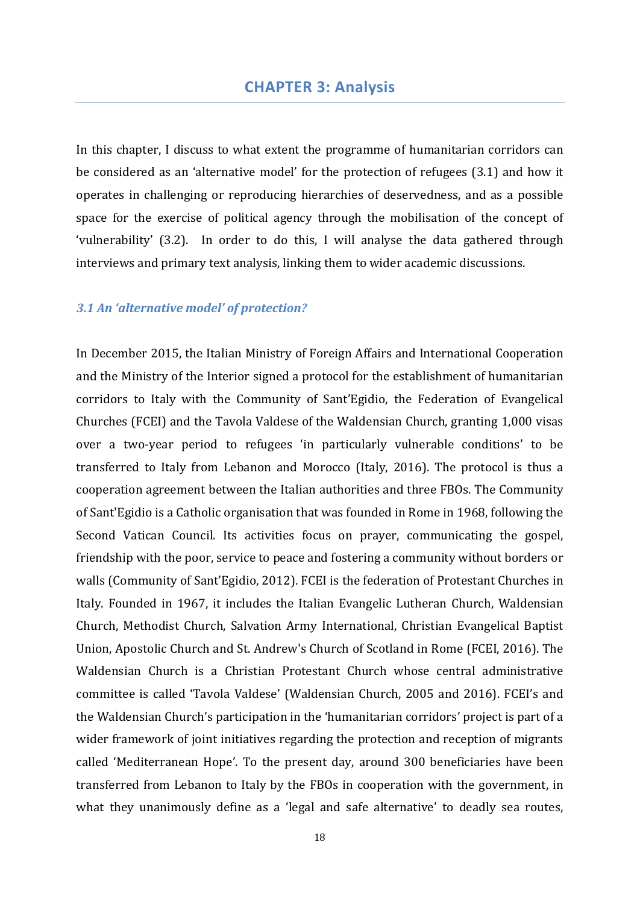In this chapter, I discuss to what extent the programme of humanitarian corridors can be considered as an 'alternative model' for the protection of refugees (3.1) and how it operates in challenging or reproducing hierarchies of deservedness, and as a possible space for the exercise of political agency through the mobilisation of the concept of 'vulnerability' (3.2). In order to do this, I will analyse the data gathered through interviews and primary text analysis, linking them to wider academic discussions.

## *3.1 An 'alternative model' of protection?*

In December 2015, the Italian Ministry of Foreign Affairs and International Cooperation and the Ministry of the Interior signed a protocol for the establishment of humanitarian corridors to Italy with the Community of Sant'Egidio, the Federation of Evangelical Churches (FCEI) and the Tavola Valdese of the Waldensian Church, granting 1,000 visas over a two-year period to refugees 'in particularly vulnerable conditions' to be transferred to Italy from Lebanon and Morocco (Italy, 2016). The protocol is thus a cooperation agreement between the Italian authorities and three FBOs. The Community of Sant'Egidio is a Catholic organisation that was founded in Rome in 1968, following the Second Vatican Council. Its activities focus on prayer, communicating the gospel, friendship with the poor, service to peace and fostering a community without borders or walls (Community of Sant'Egidio, 2012). FCEI is the federation of Protestant Churches in Italy. Founded in 1967, it includes the Italian Evangelic Lutheran Church, Waldensian Church, Methodist Church, Salvation Army International, Christian Evangelical Baptist Union, Apostolic Church and St. Andrew's Church of Scotland in Rome (FCEI, 2016). The Waldensian Church is a Christian Protestant Church whose central administrative committee is called 'Tavola Valdese' (Waldensian Church, 2005 and 2016). FCEI's and the Waldensian Church's participation in the 'humanitarian corridors' project is part of a wider framework of joint initiatives regarding the protection and reception of migrants called 'Mediterranean Hope'. To the present day, around 300 beneficiaries have been transferred from Lebanon to Italy by the FBOs in cooperation with the government, in what they unanimously define as a 'legal and safe alternative' to deadly sea routes,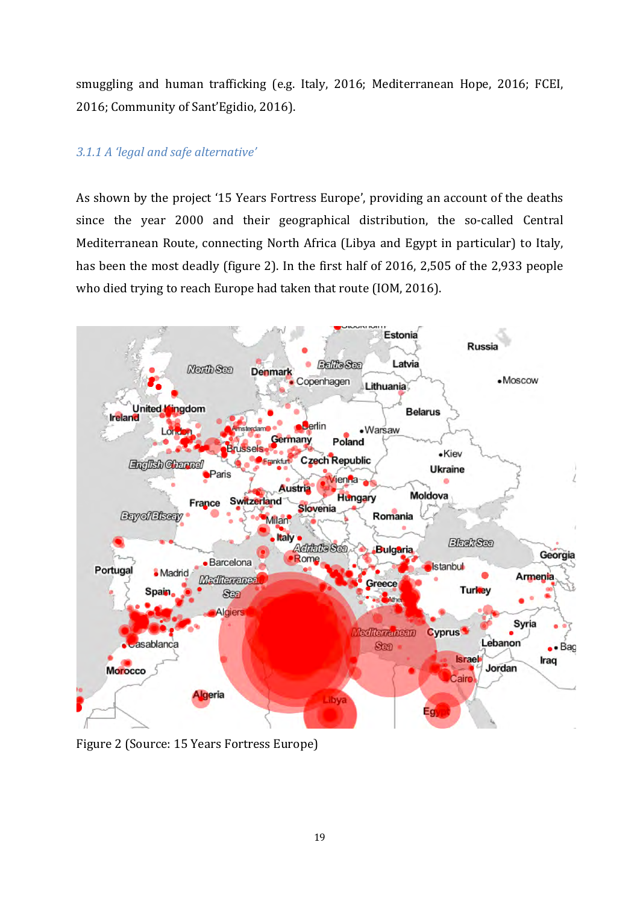smuggling and human trafficking (e.g. Italy, 2016; Mediterranean Hope, 2016; FCEI, 2016; Community of Sant'Egidio, 2016).

## *3.1.1 A 'legal and safe alternative'*

As shown by the project '15 Years Fortress Europe', providing an account of the deaths since the year 2000 and their geographical distribution, the so-called Central Mediterranean Route, connecting North Africa (Libya and Egypt in particular) to Italy, has been the most deadly (figure 2). In the first half of 2016, 2,505 of the 2,933 people who died trying to reach Europe had taken that route (IOM, 2016).



Figure 2 (Source: 15 Years Fortress Europe)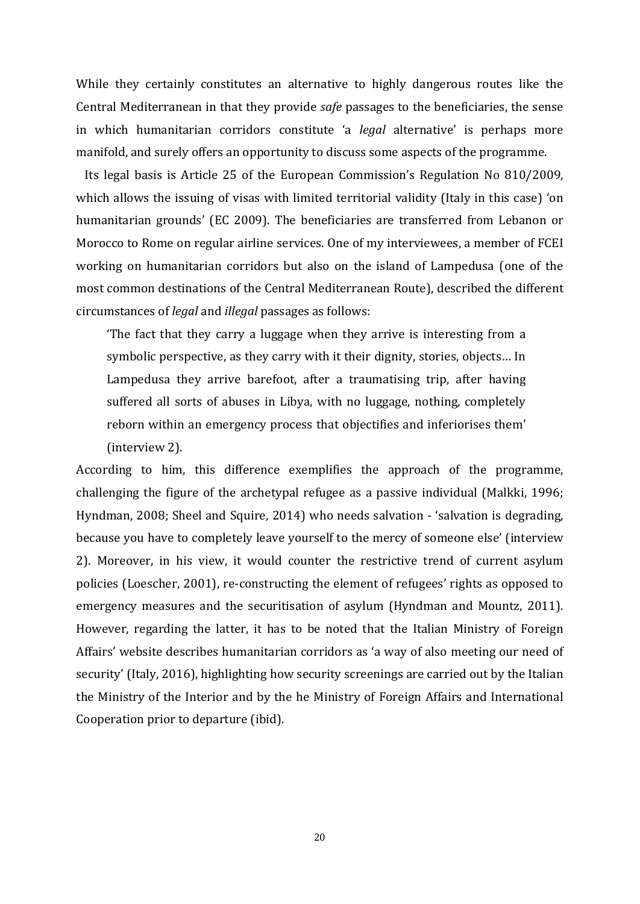While they certainly constitutes an alternative to highly dangerous routes like the Central Mediterranean in that they provide *safe* passages to the beneficiaries, the sense in which humanitarian corridors constitute 'a *legal* alternative' is perhaps more manifold, and surely offers an opportunity to discuss some aspects of the programme.

 Its legal basis is Article 25 of the European Commission's Regulation No 810/2009, which allows the issuing of visas with limited territorial validity (Italy in this case) 'on humanitarian grounds' (EC 2009). The beneficiaries are transferred from Lebanon or Morocco to Rome on regular airline services. One of my interviewees, a member of FCEI working on humanitarian corridors but also on the island of Lampedusa (one of the most common destinations of the Central Mediterranean Route), described the different circumstances of *legal* and *illegal* passages as follows:

'The fact that they carry a luggage when they arrive is interesting from a symbolic perspective, as they carry with it their dignity, stories, objects… In Lampedusa they arrive barefoot, after a traumatising trip, after having suffered all sorts of abuses in Libya, with no luggage, nothing, completely reborn within an emergency process that objectifies and inferiorises them' (interview 2).

According to him, this difference exemplifies the approach of the programme, challenging the figure of the archetypal refugee as a passive individual (Malkki, 1996; Hyndman, 2008; Sheel and Squire, 2014) who needs salvation - 'salvation is degrading, because you have to completely leave yourself to the mercy of someone else' (interview 2). Moreover, in his view, it would counter the restrictive trend of current asylum policies (Loescher, 2001), re-constructing the element of refugees' rights as opposed to emergency measures and the securitisation of asylum (Hyndman and Mountz, 2011). However, regarding the latter, it has to be noted that the Italian Ministry of Foreign Affairs' website describes humanitarian corridors as 'a way of also meeting our need of security' (Italy, 2016), highlighting how security screenings are carried out by the Italian the Ministry of the Interior and by the he Ministry of Foreign Affairs and International Cooperation prior to departure (ibid).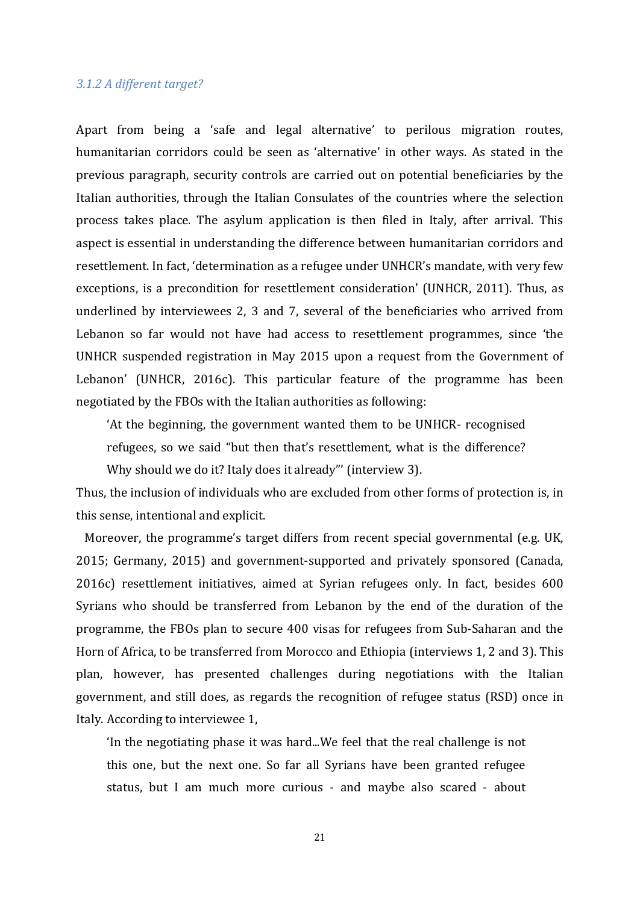### *3.1.2 A different target?*

Apart from being a 'safe and legal alternative' to perilous migration routes, humanitarian corridors could be seen as 'alternative' in other ways. As stated in the previous paragraph, security controls are carried out on potential beneficiaries by the Italian authorities, through the Italian Consulates of the countries where the selection process takes place. The asylum application is then filed in Italy, after arrival. This aspect is essential in understanding the difference between humanitarian corridors and resettlement. In fact, 'determination as a refugee under UNHCR's mandate, with very few exceptions, is a precondition for resettlement consideration' (UNHCR, 2011). Thus, as underlined by interviewees 2, 3 and 7, several of the beneficiaries who arrived from Lebanon so far would not have had access to resettlement programmes, since 'the UNHCR suspended registration in May 2015 upon a request from the Government of Lebanon' (UNHCR, 2016c). This particular feature of the programme has been negotiated by the FBOs with the Italian authorities as following:

'At the beginning, the government wanted them to be UNHCR- recognised refugees, so we said "but then that's resettlement, what is the difference? Why should we do it? Italy does it already"' (interview 3).

Thus, the inclusion of individuals who are excluded from other forms of protection is, in this sense, intentional and explicit.

 Moreover, the programme's target differs from recent special governmental (e.g. UK, 2015; Germany, 2015) and government-supported and privately sponsored (Canada, 2016c) resettlement initiatives, aimed at Syrian refugees only. In fact, besides 600 Syrians who should be transferred from Lebanon by the end of the duration of the programme, the FBOs plan to secure 400 visas for refugees from Sub-Saharan and the Horn of Africa, to be transferred from Morocco and Ethiopia (interviews 1, 2 and 3). This plan, however, has presented challenges during negotiations with the Italian government, and still does, as regards the recognition of refugee status (RSD) once in Italy. According to interviewee 1,

'In the negotiating phase it was hard...We feel that the real challenge is not this one, but the next one. So far all Syrians have been granted refugee status, but I am much more curious - and maybe also scared - about

21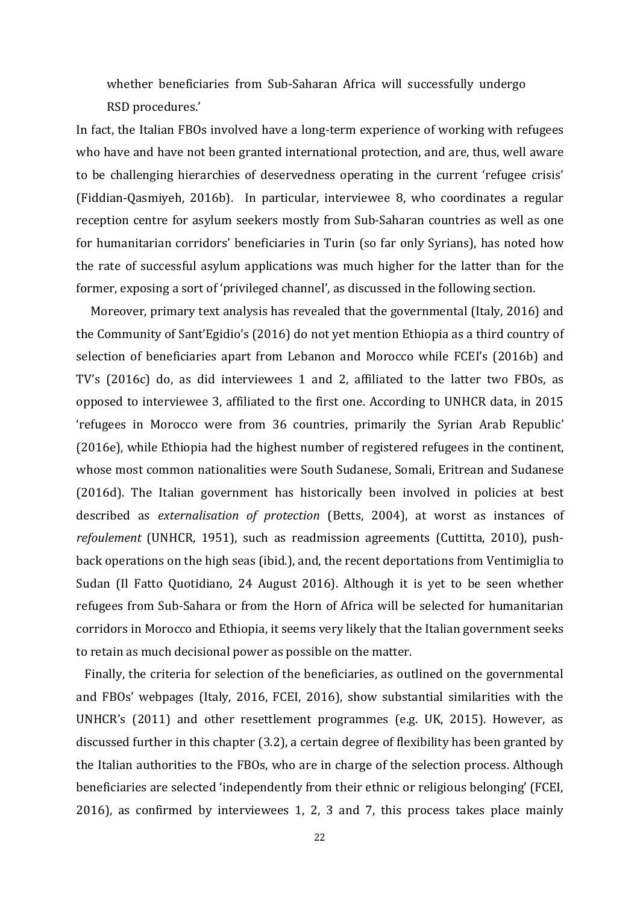whether beneficiaries from Sub-Saharan Africa will successfully undergo RSD procedures.'

In fact, the Italian FBOs involved have a long-term experience of working with refugees who have and have not been granted international protection, and are, thus, well aware to be challenging hierarchies of deservedness operating in the current 'refugee crisis' (Fiddian-Qasmiyeh, 2016b). In particular, interviewee 8, who coordinates a regular reception centre for asylum seekers mostly from Sub-Saharan countries as well as one for humanitarian corridors' beneficiaries in Turin (so far only Syrians), has noted how the rate of successful asylum applications was much higher for the latter than for the former, exposing a sort of 'privileged channel', as discussed in the following section.

 Moreover, primary text analysis has revealed that the governmental (Italy, 2016) and the Community of Sant'Egidio's (2016) do not yet mention Ethiopia as a third country of selection of beneficiaries apart from Lebanon and Morocco while FCEI's (2016b) and TV's (2016c) do, as did interviewees 1 and 2, affiliated to the latter two FBOs, as opposed to interviewee 3, affiliated to the first one. According to UNHCR data, in 2015 'refugees in Morocco were from 36 countries, primarily the Syrian Arab Republic' (2016e), while Ethiopia had the highest number of registered refugees in the continent, whose most common nationalities were South Sudanese, Somali, Eritrean and Sudanese (2016d). The Italian government has historically been involved in policies at best described as *externalisation of protection* (Betts, 2004), at worst as instances of *refoulement* (UNHCR, 1951), such as readmission agreements (Cuttitta, 2010), pushback operations on the high seas (ibid.), and, the recent deportations from Ventimiglia to Sudan (Il Fatto Quotidiano, 24 August 2016). Although it is yet to be seen whether refugees from Sub-Sahara or from the Horn of Africa will be selected for humanitarian corridors in Morocco and Ethiopia, it seems very likely that the Italian government seeks to retain as much decisional power as possible on the matter.

 Finally, the criteria for selection of the beneficiaries, as outlined on the governmental and FBOs' webpages (Italy, 2016, FCEI, 2016), show substantial similarities with the UNHCR's (2011) and other resettlement programmes (e.g. UK, 2015). However, as discussed further in this chapter (3.2), a certain degree of flexibility has been granted by the Italian authorities to the FBOs, who are in charge of the selection process. Although beneficiaries are selected 'independently from their ethnic or religious belonging' (FCEI, 2016), as confirmed by interviewees 1, 2, 3 and 7, this process takes place mainly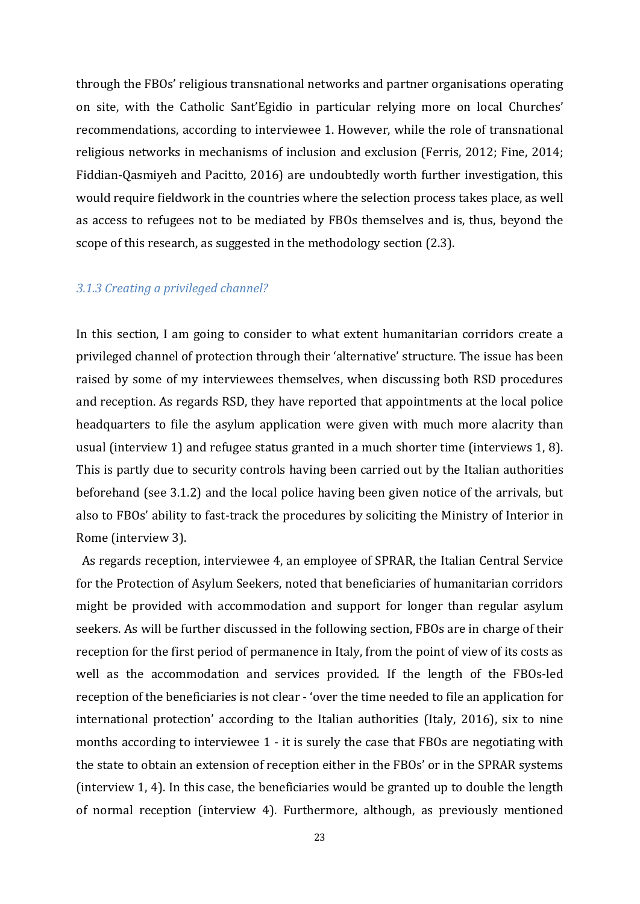through the FBOs' religious transnational networks and partner organisations operating on site, with the Catholic Sant'Egidio in particular relying more on local Churches' recommendations, according to interviewee 1. However, while the role of transnational religious networks in mechanisms of inclusion and exclusion (Ferris, 2012; Fine, 2014; Fiddian-Qasmiyeh and Pacitto, 2016) are undoubtedly worth further investigation, this would require fieldwork in the countries where the selection process takes place, as well as access to refugees not to be mediated by FBOs themselves and is, thus, beyond the scope of this research, as suggested in the methodology section (2.3).

#### *3.1.3 Creating a privileged channel?*

In this section, I am going to consider to what extent humanitarian corridors create a privileged channel of protection through their 'alternative' structure. The issue has been raised by some of my interviewees themselves, when discussing both RSD procedures and reception. As regards RSD, they have reported that appointments at the local police headquarters to file the asylum application were given with much more alacrity than usual (interview 1) and refugee status granted in a much shorter time (interviews 1, 8). This is partly due to security controls having been carried out by the Italian authorities beforehand (see 3.1.2) and the local police having been given notice of the arrivals, but also to FBOs' ability to fast-track the procedures by soliciting the Ministry of Interior in Rome (interview 3).

 As regards reception, interviewee 4, an employee of SPRAR, the Italian Central Service for the Protection of Asylum Seekers, noted that beneficiaries of humanitarian corridors might be provided with accommodation and support for longer than regular asylum seekers. As will be further discussed in the following section, FBOs are in charge of their reception for the first period of permanence in Italy, from the point of view of its costs as well as the accommodation and services provided. If the length of the FBOs-led reception of the beneficiaries is not clear - 'over the time needed to file an application for international protection' according to the Italian authorities (Italy, 2016), six to nine months according to interviewee 1 - it is surely the case that FBOs are negotiating with the state to obtain an extension of reception either in the FBOs' or in the SPRAR systems (interview 1, 4). In this case, the beneficiaries would be granted up to double the length of normal reception (interview 4). Furthermore, although, as previously mentioned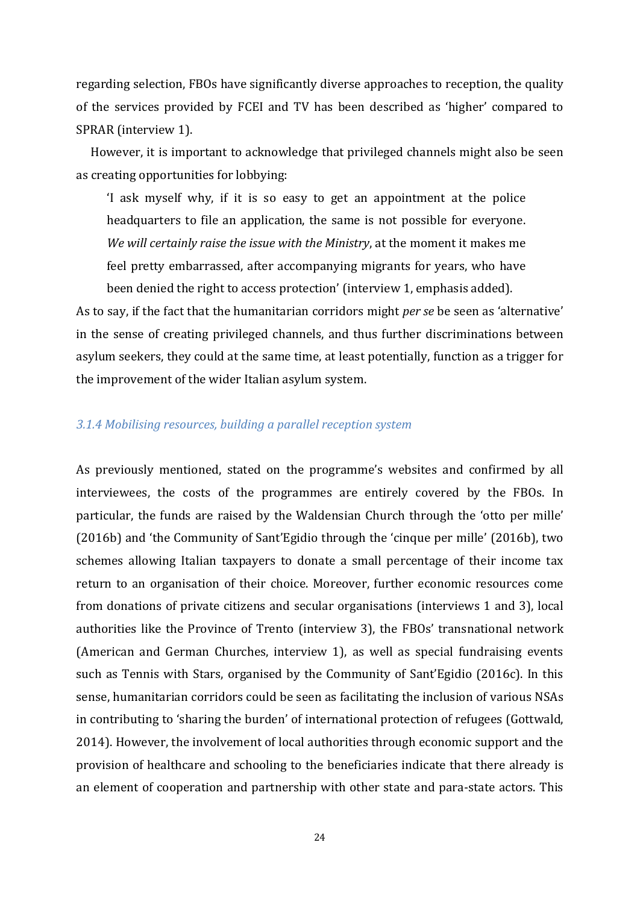regarding selection, FBOs have significantly diverse approaches to reception, the quality of the services provided by FCEI and TV has been described as 'higher' compared to SPRAR (interview 1).

 However, it is important to acknowledge that privileged channels might also be seen as creating opportunities for lobbying:

'I ask myself why, if it is so easy to get an appointment at the police headquarters to file an application, the same is not possible for everyone. *We will certainly raise the issue with the Ministry*, at the moment it makes me feel pretty embarrassed, after accompanying migrants for years, who have been denied the right to access protection' (interview 1, emphasis added).

As to say, if the fact that the humanitarian corridors might *per se* be seen as 'alternative' in the sense of creating privileged channels, and thus further discriminations between asylum seekers, they could at the same time, at least potentially, function as a trigger for the improvement of the wider Italian asylum system.

### *3.1.4 Mobilising resources, building a parallel reception system*

As previously mentioned, stated on the programme's websites and confirmed by all interviewees, the costs of the programmes are entirely covered by the FBOs. In particular, the funds are raised by the Waldensian Church through the 'otto per mille' (2016b) and 'the Community of Sant'Egidio through the 'cinque per mille' (2016b), two schemes allowing Italian taxpayers to donate a small percentage of their income tax return to an organisation of their choice. Moreover, further economic resources come from donations of private citizens and secular organisations (interviews 1 and 3), local authorities like the Province of Trento (interview 3), the FBOs' transnational network (American and German Churches, interview 1), as well as special fundraising events such as Tennis with Stars, organised by the Community of Sant'Egidio (2016c). In this sense, humanitarian corridors could be seen as facilitating the inclusion of various NSAs in contributing to 'sharing the burden' of international protection of refugees (Gottwald, 2014). However, the involvement of local authorities through economic support and the provision of healthcare and schooling to the beneficiaries indicate that there already is an element of cooperation and partnership with other state and para-state actors. This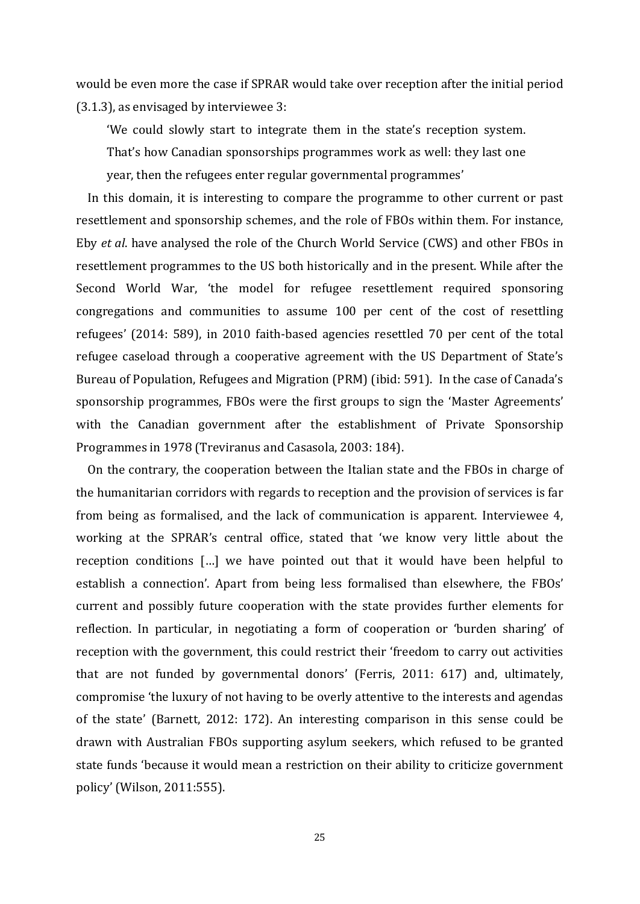would be even more the case if SPRAR would take over reception after the initial period (3.1.3), as envisaged by interviewee 3:

'We could slowly start to integrate them in the state's reception system. That's how Canadian sponsorships programmes work as well: they last one year, then the refugees enter regular governmental programmes'

 In this domain, it is interesting to compare the programme to other current or past resettlement and sponsorship schemes, and the role of FBOs within them. For instance, Eby *et al*. have analysed the role of the Church World Service (CWS) and other FBOs in resettlement programmes to the US both historically and in the present. While after the Second World War, 'the model for refugee resettlement required sponsoring congregations and communities to assume 100 per cent of the cost of resettling refugees' (2014: 589), in 2010 faith-based agencies resettled 70 per cent of the total refugee caseload through a cooperative agreement with the US Department of State's Bureau of Population, Refugees and Migration (PRM) (ibid: 591). In the case of Canada's sponsorship programmes, FBOs were the first groups to sign the 'Master Agreements' with the Canadian government after the establishment of Private Sponsorship Programmes in 1978 (Treviranus and Casasola, 2003: 184).

 On the contrary, the cooperation between the Italian state and the FBOs in charge of the humanitarian corridors with regards to reception and the provision of services is far from being as formalised, and the lack of communication is apparent. Interviewee 4, working at the SPRAR's central office, stated that 'we know very little about the reception conditions […] we have pointed out that it would have been helpful to establish a connection'. Apart from being less formalised than elsewhere, the FBOs' current and possibly future cooperation with the state provides further elements for reflection. In particular, in negotiating a form of cooperation or 'burden sharing' of reception with the government, this could restrict their 'freedom to carry out activities that are not funded by governmental donors' (Ferris, 2011: 617) and, ultimately, compromise 'the luxury of not having to be overly attentive to the interests and agendas of the state' (Barnett, 2012: 172). An interesting comparison in this sense could be drawn with Australian FBOs supporting asylum seekers, which refused to be granted state funds 'because it would mean a restriction on their ability to criticize government policy' (Wilson, 2011:555).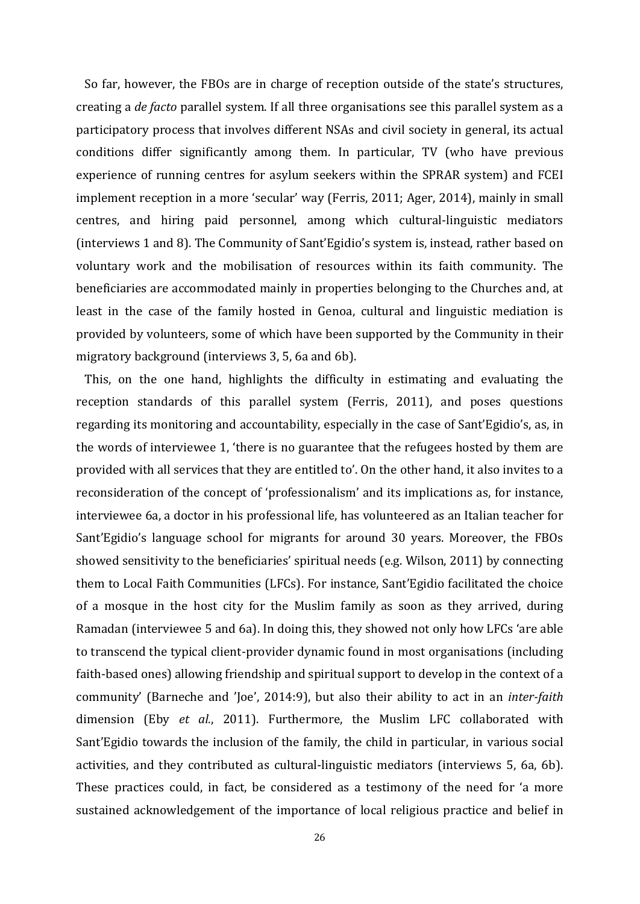So far, however, the FBOs are in charge of reception outside of the state's structures, creating a *de facto* parallel system. If all three organisations see this parallel system as a participatory process that involves different NSAs and civil society in general, its actual conditions differ significantly among them. In particular, TV (who have previous experience of running centres for asylum seekers within the SPRAR system) and FCEI implement reception in a more 'secular' way (Ferris, 2011; Ager, 2014), mainly in small centres, and hiring paid personnel, among which cultural-linguistic mediators (interviews 1 and 8). The Community of Sant'Egidio's system is, instead, rather based on voluntary work and the mobilisation of resources within its faith community. The beneficiaries are accommodated mainly in properties belonging to the Churches and, at least in the case of the family hosted in Genoa, cultural and linguistic mediation is provided by volunteers, some of which have been supported by the Community in their migratory background (interviews 3, 5, 6a and 6b).

 This, on the one hand, highlights the difficulty in estimating and evaluating the reception standards of this parallel system (Ferris, 2011), and poses questions regarding its monitoring and accountability, especially in the case of Sant'Egidio's, as, in the words of interviewee 1, 'there is no guarantee that the refugees hosted by them are provided with all services that they are entitled to'. On the other hand, it also invites to a reconsideration of the concept of 'professionalism' and its implications as, for instance, interviewee 6a, a doctor in his professional life, has volunteered as an Italian teacher for Sant'Egidio's language school for migrants for around 30 years. Moreover, the FBOs showed sensitivity to the beneficiaries' spiritual needs (e.g. Wilson, 2011) by connecting them to Local Faith Communities (LFCs). For instance, Sant'Egidio facilitated the choice of a mosque in the host city for the Muslim family as soon as they arrived, during Ramadan (interviewee 5 and 6a). In doing this, they showed not only how LFCs 'are able to transcend the typical client-provider dynamic found in most organisations (including faith-based ones) allowing friendship and spiritual support to develop in the context of a community' (Barneche and 'Joe', 2014:9), but also their ability to act in an *inter-faith*  dimension (Eby *et al.*, 2011). Furthermore, the Muslim LFC collaborated with Sant'Egidio towards the inclusion of the family, the child in particular, in various social activities, and they contributed as cultural-linguistic mediators (interviews 5, 6a, 6b). These practices could, in fact, be considered as a testimony of the need for 'a more sustained acknowledgement of the importance of local religious practice and belief in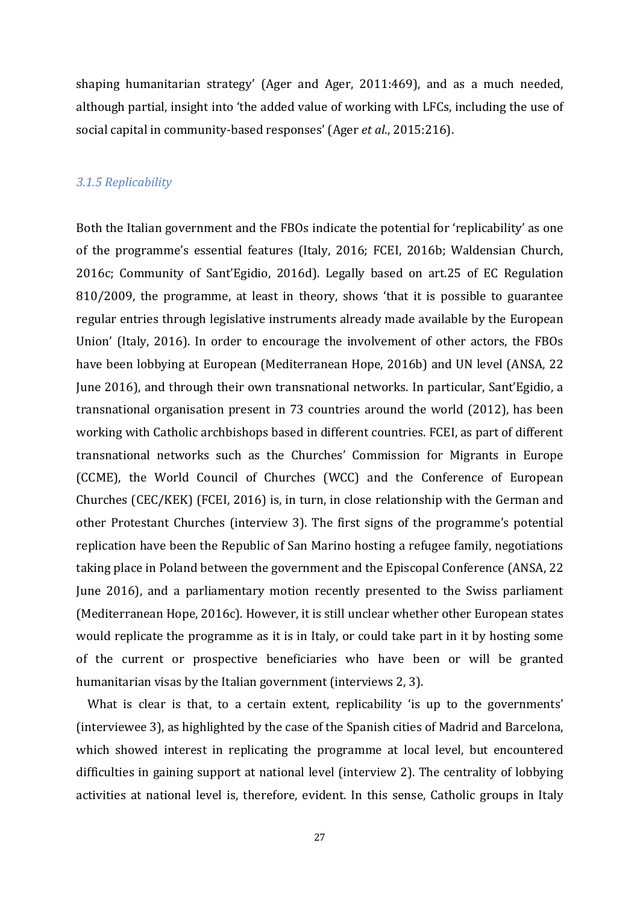shaping humanitarian strategy' (Ager and Ager, 2011:469), and as a much needed, although partial, insight into 'the added value of working with LFCs, including the use of social capital in community-based responses' (Ager *et al*., 2015:216).

## *3.1.5 Replicability*

Both the Italian government and the FBOs indicate the potential for 'replicability' as one of the programme's essential features (Italy, 2016; FCEI, 2016b; Waldensian Church, 2016c; Community of Sant'Egidio, 2016d). Legally based on art.25 of EC Regulation 810/2009, the programme, at least in theory, shows 'that it is possible to guarantee regular entries through legislative instruments already made available by the European Union' (Italy, 2016). In order to encourage the involvement of other actors, the FBOs have been lobbying at European (Mediterranean Hope, 2016b) and UN level (ANSA, 22 June 2016), and through their own transnational networks. In particular, Sant'Egidio, a transnational organisation present in 73 countries around the world (2012), has been working with Catholic archbishops based in different countries. FCEI, as part of different transnational networks such as the Churches' Commission for Migrants in Europe (CCME), the World Council of Churches (WCC) and the Conference of European Churches (CEC/KEK) (FCEI, 2016) is, in turn, in close relationship with the German and other Protestant Churches (interview 3). The first signs of the programme's potential replication have been the Republic of San Marino hosting a refugee family, negotiations taking place in Poland between the government and the Episcopal Conference (ANSA, 22 June 2016), and a parliamentary motion recently presented to the Swiss parliament (Mediterranean Hope, 2016c). However, it is still unclear whether other European states would replicate the programme as it is in Italy, or could take part in it by hosting some of the current or prospective beneficiaries who have been or will be granted humanitarian visas by the Italian government (interviews 2, 3).

 What is clear is that, to a certain extent, replicability 'is up to the governments' (interviewee 3), as highlighted by the case of the Spanish cities of Madrid and Barcelona, which showed interest in replicating the programme at local level, but encountered difficulties in gaining support at national level (interview 2). The centrality of lobbying activities at national level is, therefore, evident. In this sense, Catholic groups in Italy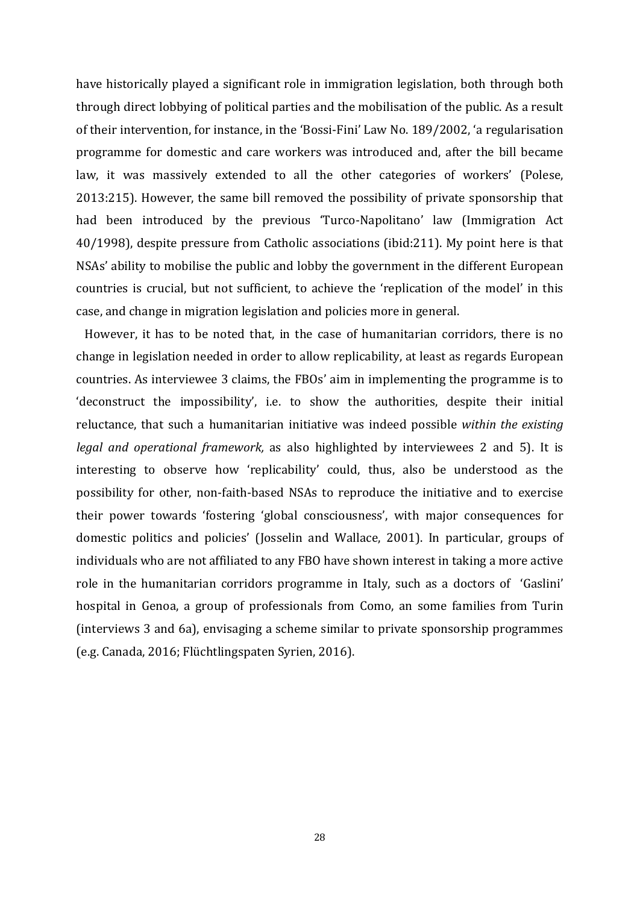have historically played a significant role in immigration legislation, both through both through direct lobbying of political parties and the mobilisation of the public. As a result of their intervention, for instance, in the 'Bossi-Fini' Law No. 189/2002, 'a regularisation programme for domestic and care workers was introduced and, after the bill became law, it was massively extended to all the other categories of workers' (Polese, 2013:215). However, the same bill removed the possibility of private sponsorship that had been introduced by the previous 'Turco-Napolitano' law (Immigration Act 40/1998), despite pressure from Catholic associations (ibid:211). My point here is that NSAs' ability to mobilise the public and lobby the government in the different European countries is crucial, but not sufficient, to achieve the 'replication of the model' in this case, and change in migration legislation and policies more in general.

 However, it has to be noted that, in the case of humanitarian corridors, there is no change in legislation needed in order to allow replicability, at least as regards European countries. As interviewee 3 claims, the FBOs' aim in implementing the programme is to 'deconstruct the impossibility', i.e. to show the authorities, despite their initial reluctance, that such a humanitarian initiative was indeed possible *within the existing legal and operational framework,* as also highlighted by interviewees 2 and 5). It is interesting to observe how 'replicability' could, thus, also be understood as the possibility for other, non-faith-based NSAs to reproduce the initiative and to exercise their power towards 'fostering 'global consciousness', with major consequences for domestic politics and policies' (Josselin and Wallace, 2001). In particular, groups of individuals who are not affiliated to any FBO have shown interest in taking a more active role in the humanitarian corridors programme in Italy, such as a doctors of 'Gaslini' hospital in Genoa, a group of professionals from Como, an some families from Turin (interviews 3 and 6a), envisaging a scheme similar to private sponsorship programmes (e.g. Canada, 2016; Flüchtlingspaten Syrien, 2016).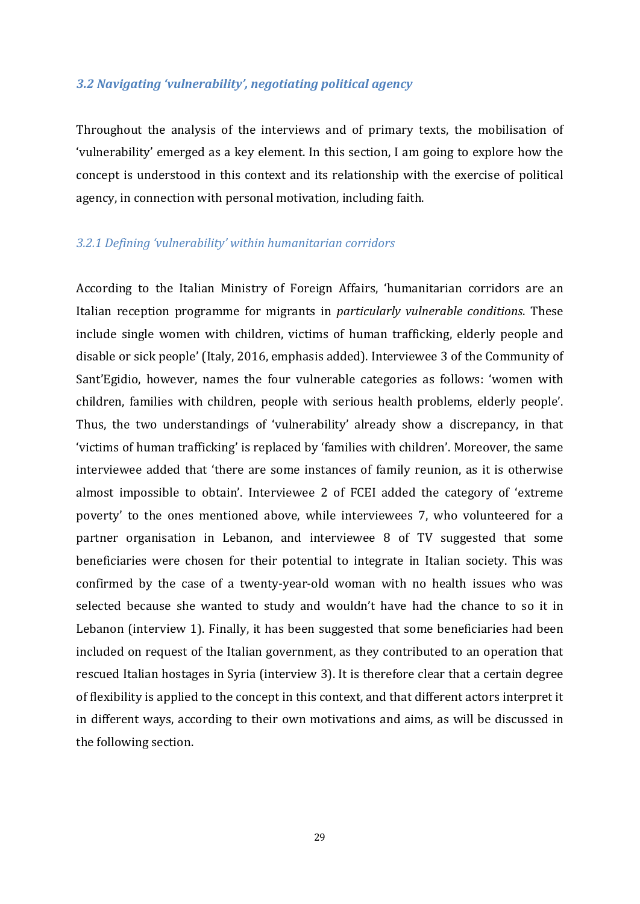### *3.2 Navigating 'vulnerability', negotiating political agency*

Throughout the analysis of the interviews and of primary texts, the mobilisation of 'vulnerability' emerged as a key element. In this section, I am going to explore how the concept is understood in this context and its relationship with the exercise of political agency, in connection with personal motivation, including faith.

### *3.2.1 Defining 'vulnerability' within humanitarian corridors*

According to the Italian Ministry of Foreign Affairs, 'humanitarian corridors are an Italian reception programme for migrants in *particularly vulnerable conditions*. These include single women with children, victims of human trafficking, elderly people and disable or sick people' (Italy, 2016, emphasis added). Interviewee 3 of the Community of Sant'Egidio, however, names the four vulnerable categories as follows: 'women with children, families with children, people with serious health problems, elderly people'. Thus, the two understandings of 'vulnerability' already show a discrepancy, in that 'victims of human trafficking' is replaced by 'families with children'. Moreover, the same interviewee added that 'there are some instances of family reunion, as it is otherwise almost impossible to obtain'. Interviewee 2 of FCEI added the category of 'extreme poverty' to the ones mentioned above, while interviewees 7, who volunteered for a partner organisation in Lebanon, and interviewee 8 of TV suggested that some beneficiaries were chosen for their potential to integrate in Italian society. This was confirmed by the case of a twenty-year-old woman with no health issues who was selected because she wanted to study and wouldn't have had the chance to so it in Lebanon (interview 1). Finally, it has been suggested that some beneficiaries had been included on request of the Italian government, as they contributed to an operation that rescued Italian hostages in Syria (interview 3). It is therefore clear that a certain degree of flexibility is applied to the concept in this context, and that different actors interpret it in different ways, according to their own motivations and aims, as will be discussed in the following section.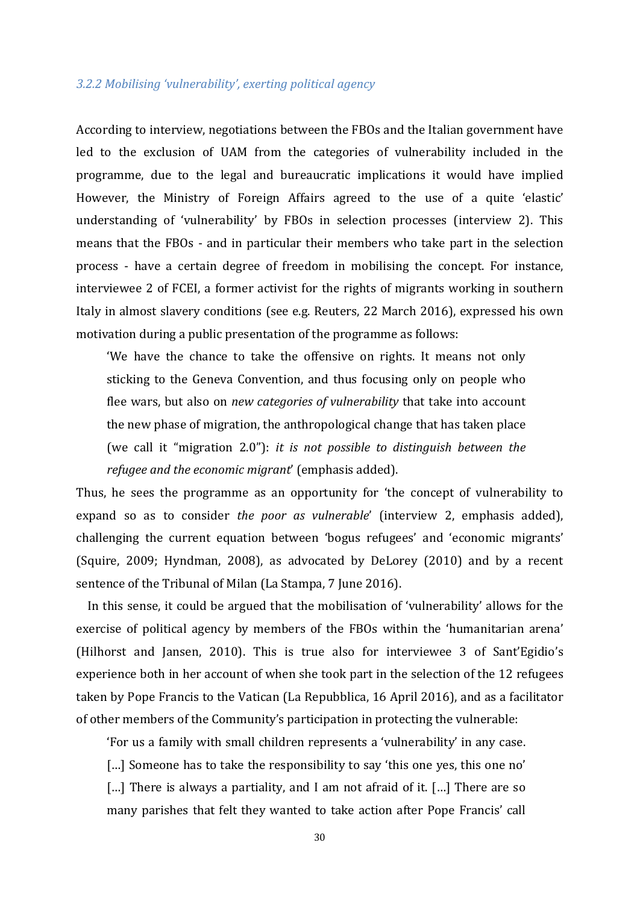### *3.2.2 Mobilising 'vulnerability', exerting political agency*

According to interview, negotiations between the FBOs and the Italian government have led to the exclusion of UAM from the categories of vulnerability included in the programme, due to the legal and bureaucratic implications it would have implied However, the Ministry of Foreign Affairs agreed to the use of a quite 'elastic' understanding of 'vulnerability' by FBOs in selection processes (interview 2). This means that the FBOs - and in particular their members who take part in the selection process - have a certain degree of freedom in mobilising the concept. For instance, interviewee 2 of FCEI, a former activist for the rights of migrants working in southern Italy in almost slavery conditions (see e.g. Reuters, 22 March 2016), expressed his own motivation during a public presentation of the programme as follows:

'We have the chance to take the offensive on rights. It means not only sticking to the Geneva Convention, and thus focusing only on people who flee wars, but also on *new categories of vulnerability* that take into account the new phase of migration, the anthropological change that has taken place (we call it "migration 2.0"): *it is not possible to distinguish between the refugee and the economic migrant*' (emphasis added).

Thus, he sees the programme as an opportunity for 'the concept of vulnerability to expand so as to consider *the poor as vulnerable*' (interview 2, emphasis added), challenging the current equation between 'bogus refugees' and 'economic migrants' (Squire, 2009; Hyndman, 2008), as advocated by DeLorey (2010) and by a recent sentence of the Tribunal of Milan (La Stampa, 7 June 2016).

 In this sense, it could be argued that the mobilisation of 'vulnerability' allows for the exercise of political agency by members of the FBOs within the 'humanitarian arena' (Hilhorst and Jansen, 2010). This is true also for interviewee 3 of Sant'Egidio's experience both in her account of when she took part in the selection of the 12 refugees taken by Pope Francis to the Vatican (La Repubblica, 16 April 2016), and as a facilitator of other members of the Community's participation in protecting the vulnerable:

'For us a family with small children represents a 'vulnerability' in any case.

[…] Someone has to take the responsibility to say 'this one yes, this one no'

[...] There is always a partiality, and I am not afraid of it. [...] There are so many parishes that felt they wanted to take action after Pope Francis' call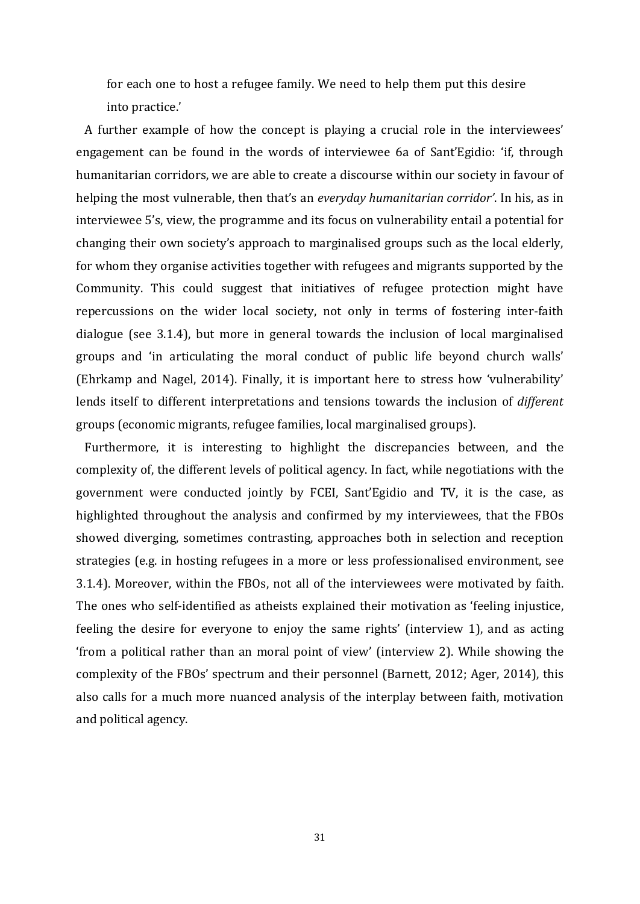for each one to host a refugee family. We need to help them put this desire into practice.'

 A further example of how the concept is playing a crucial role in the interviewees' engagement can be found in the words of interviewee 6a of Sant'Egidio: 'if, through humanitarian corridors, we are able to create a discourse within our society in favour of helping the most vulnerable, then that's an *everyday humanitarian corridor'*. In his, as in interviewee 5's, view, the programme and its focus on vulnerability entail a potential for changing their own society's approach to marginalised groups such as the local elderly, for whom they organise activities together with refugees and migrants supported by the Community. This could suggest that initiatives of refugee protection might have repercussions on the wider local society, not only in terms of fostering inter-faith dialogue (see 3.1.4), but more in general towards the inclusion of local marginalised groups and 'in articulating the moral conduct of public life beyond church walls' (Ehrkamp and Nagel, 2014). Finally, it is important here to stress how 'vulnerability' lends itself to different interpretations and tensions towards the inclusion of *different* groups (economic migrants, refugee families, local marginalised groups).

 Furthermore, it is interesting to highlight the discrepancies between, and the complexity of, the different levels of political agency. In fact, while negotiations with the government were conducted jointly by FCEI, Sant'Egidio and TV, it is the case, as highlighted throughout the analysis and confirmed by my interviewees, that the FBOs showed diverging, sometimes contrasting, approaches both in selection and reception strategies (e.g. in hosting refugees in a more or less professionalised environment, see 3.1.4). Moreover, within the FBOs, not all of the interviewees were motivated by faith. The ones who self-identified as atheists explained their motivation as 'feeling injustice, feeling the desire for everyone to enjoy the same rights' (interview 1), and as acting 'from a political rather than an moral point of view' (interview 2). While showing the complexity of the FBOs' spectrum and their personnel (Barnett, 2012; Ager, 2014), this also calls for a much more nuanced analysis of the interplay between faith, motivation and political agency.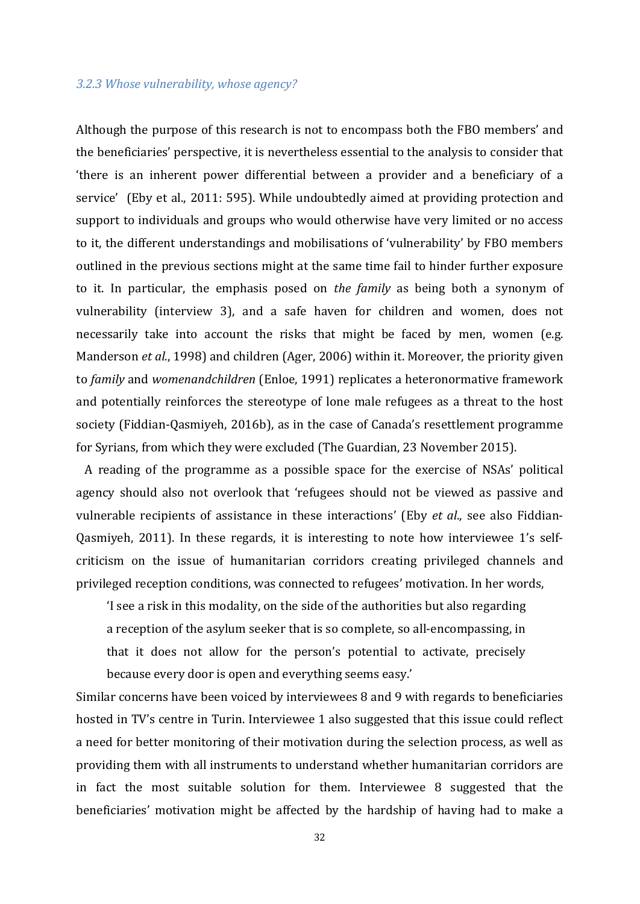#### *3.2.3 Whose vulnerability, whose agency?*

Although the purpose of this research is not to encompass both the FBO members' and the beneficiaries' perspective, it is nevertheless essential to the analysis to consider that 'there is an inherent power differential between a provider and a beneficiary of a service' (Eby et al., 2011: 595). While undoubtedly aimed at providing protection and support to individuals and groups who would otherwise have very limited or no access to it, the different understandings and mobilisations of 'vulnerability' by FBO members outlined in the previous sections might at the same time fail to hinder further exposure to it. In particular, the emphasis posed on *the family* as being both a synonym of vulnerability (interview 3), and a safe haven for children and women, does not necessarily take into account the risks that might be faced by men, women (e.g. Manderson *et al*., 1998) and children (Ager, 2006) within it. Moreover, the priority given to *family* and *womenandchildren* (Enloe, 1991) replicates a heteronormative framework and potentially reinforces the stereotype of lone male refugees as a threat to the host society (Fiddian-Qasmiyeh, 2016b), as in the case of Canada's resettlement programme for Syrians, from which they were excluded (The Guardian, 23 November 2015).

 A reading of the programme as a possible space for the exercise of NSAs' political agency should also not overlook that 'refugees should not be viewed as passive and vulnerable recipients of assistance in these interactions' (Eby *et al*., see also Fiddian-Qasmiyeh, 2011). In these regards, it is interesting to note how interviewee 1's selfcriticism on the issue of humanitarian corridors creating privileged channels and privileged reception conditions, was connected to refugees' motivation. In her words,

'I see a risk in this modality, on the side of the authorities but also regarding a reception of the asylum seeker that is so complete, so all-encompassing, in that it does not allow for the person's potential to activate, precisely because every door is open and everything seems easy.'

Similar concerns have been voiced by interviewees 8 and 9 with regards to beneficiaries hosted in TV's centre in Turin. Interviewee 1 also suggested that this issue could reflect a need for better monitoring of their motivation during the selection process, as well as providing them with all instruments to understand whether humanitarian corridors are in fact the most suitable solution for them. Interviewee 8 suggested that the beneficiaries' motivation might be affected by the hardship of having had to make a

32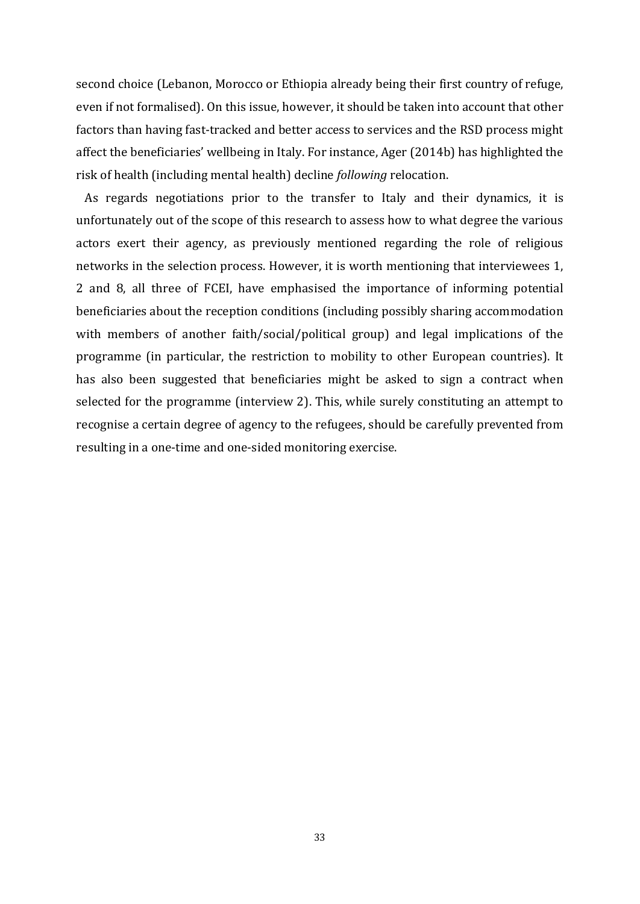second choice (Lebanon, Morocco or Ethiopia already being their first country of refuge, even if not formalised). On this issue, however, it should be taken into account that other factors than having fast-tracked and better access to services and the RSD process might affect the beneficiaries' wellbeing in Italy. For instance, Ager (2014b) has highlighted the risk of health (including mental health) decline *following* relocation.

 As regards negotiations prior to the transfer to Italy and their dynamics, it is unfortunately out of the scope of this research to assess how to what degree the various actors exert their agency, as previously mentioned regarding the role of religious networks in the selection process. However, it is worth mentioning that interviewees 1, 2 and 8, all three of FCEI, have emphasised the importance of informing potential beneficiaries about the reception conditions (including possibly sharing accommodation with members of another faith/social/political group) and legal implications of the programme (in particular, the restriction to mobility to other European countries). It has also been suggested that beneficiaries might be asked to sign a contract when selected for the programme (interview 2). This, while surely constituting an attempt to recognise a certain degree of agency to the refugees, should be carefully prevented from resulting in a one-time and one-sided monitoring exercise.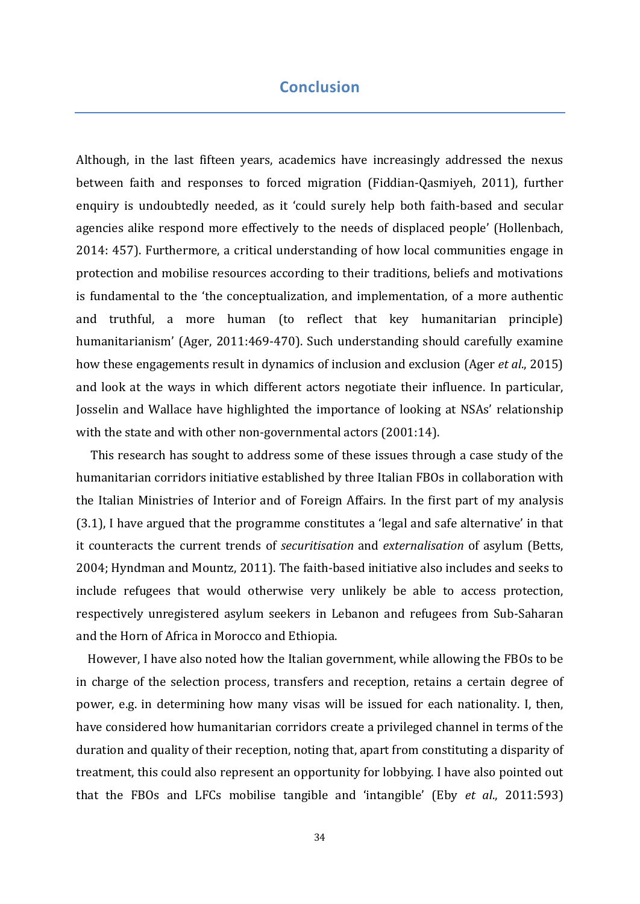## **Conclusion**

Although, in the last fifteen years, academics have increasingly addressed the nexus between faith and responses to forced migration (Fiddian-Qasmiyeh, 2011), further enquiry is undoubtedly needed, as it 'could surely help both faith-based and secular agencies alike respond more effectively to the needs of displaced people' (Hollenbach, 2014: 457). Furthermore, a critical understanding of how local communities engage in protection and mobilise resources according to their traditions, beliefs and motivations is fundamental to the 'the conceptualization, and implementation, of a more authentic and truthful, a more human (to reflect that key humanitarian principle) humanitarianism' (Ager, 2011:469-470). Such understanding should carefully examine how these engagements result in dynamics of inclusion and exclusion (Ager *et al*., 2015) and look at the ways in which different actors negotiate their influence. In particular, Josselin and Wallace have highlighted the importance of looking at NSAs' relationship with the state and with other non-governmental actors (2001:14).

 This research has sought to address some of these issues through a case study of the humanitarian corridors initiative established by three Italian FBOs in collaboration with the Italian Ministries of Interior and of Foreign Affairs. In the first part of my analysis (3.1), I have argued that the programme constitutes a 'legal and safe alternative' in that it counteracts the current trends of *securitisation* and *externalisation* of asylum (Betts, 2004; Hyndman and Mountz, 2011). The faith-based initiative also includes and seeks to include refugees that would otherwise very unlikely be able to access protection, respectively unregistered asylum seekers in Lebanon and refugees from Sub-Saharan and the Horn of Africa in Morocco and Ethiopia.

 However, I have also noted how the Italian government, while allowing the FBOs to be in charge of the selection process, transfers and reception, retains a certain degree of power, e.g. in determining how many visas will be issued for each nationality. I, then, have considered how humanitarian corridors create a privileged channel in terms of the duration and quality of their reception, noting that, apart from constituting a disparity of treatment, this could also represent an opportunity for lobbying. I have also pointed out that the FBOs and LFCs mobilise tangible and 'intangible' (Eby *et al*., 2011:593)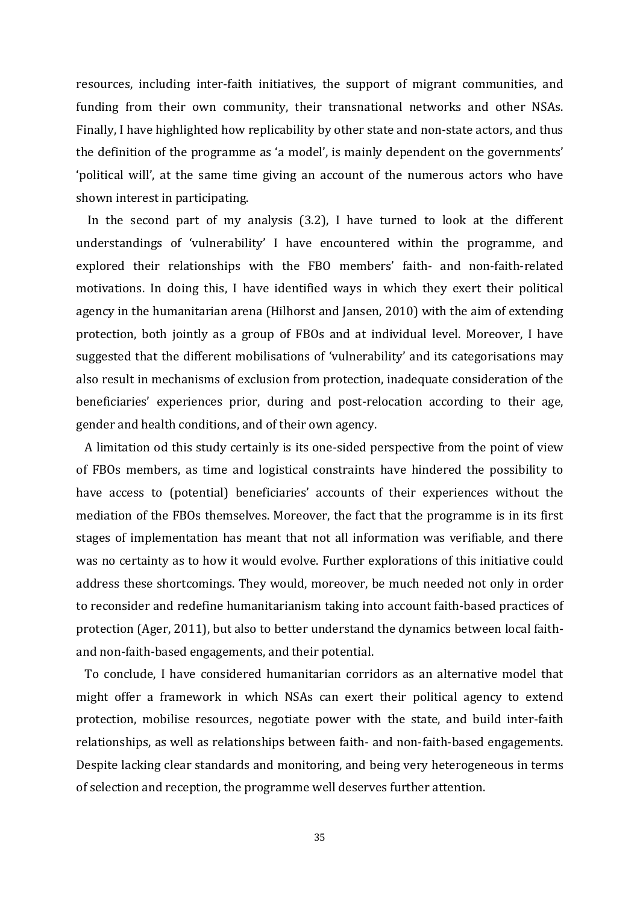resources, including inter-faith initiatives, the support of migrant communities, and funding from their own community, their transnational networks and other NSAs. Finally, I have highlighted how replicability by other state and non-state actors, and thus the definition of the programme as 'a model', is mainly dependent on the governments' 'political will', at the same time giving an account of the numerous actors who have shown interest in participating.

 In the second part of my analysis (3.2), I have turned to look at the different understandings of 'vulnerability' I have encountered within the programme, and explored their relationships with the FBO members' faith- and non-faith-related motivations. In doing this, I have identified ways in which they exert their political agency in the humanitarian arena (Hilhorst and Jansen, 2010) with the aim of extending protection, both jointly as a group of FBOs and at individual level. Moreover, I have suggested that the different mobilisations of 'vulnerability' and its categorisations may also result in mechanisms of exclusion from protection, inadequate consideration of the beneficiaries' experiences prior, during and post-relocation according to their age, gender and health conditions, and of their own agency.

 A limitation od this study certainly is its one-sided perspective from the point of view of FBOs members, as time and logistical constraints have hindered the possibility to have access to (potential) beneficiaries' accounts of their experiences without the mediation of the FBOs themselves. Moreover, the fact that the programme is in its first stages of implementation has meant that not all information was verifiable, and there was no certainty as to how it would evolve. Further explorations of this initiative could address these shortcomings. They would, moreover, be much needed not only in order to reconsider and redefine humanitarianism taking into account faith-based practices of protection (Ager, 2011), but also to better understand the dynamics between local faithand non-faith-based engagements, and their potential.

 To conclude, I have considered humanitarian corridors as an alternative model that might offer a framework in which NSAs can exert their political agency to extend protection, mobilise resources, negotiate power with the state, and build inter-faith relationships, as well as relationships between faith- and non-faith-based engagements. Despite lacking clear standards and monitoring, and being very heterogeneous in terms of selection and reception, the programme well deserves further attention.

35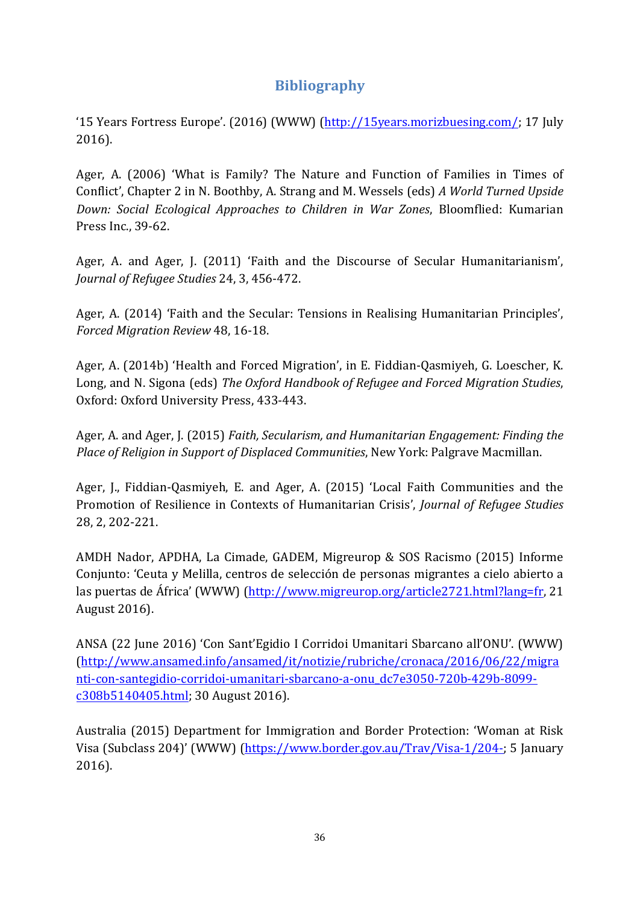## **Bibliography**

'15 Years Fortress Europe'. (2016) (WWW) (http://15years.morizbuesing.com/; 17 July 2016).

Ager, A. (2006) 'What is Family? The Nature and Function of Families in Times of Conflict', Chapter 2 in N. Boothby, A. Strang and M. Wessels (eds) *A World Turned Upside Down: Social Ecological Approaches to Children in War Zones*, Bloomflied: Kumarian Press Inc., 39-62.

Ager, A. and Ager, J. (2011) 'Faith and the Discourse of Secular Humanitarianism', *Journal of Refugee Studies* 24, 3, 456-472.

Ager, A. (2014) 'Faith and the Secular: Tensions in Realising Humanitarian Principles', *Forced Migration Review* 48, 16-18.

Ager, A. (2014b) 'Health and Forced Migration', in E. Fiddian-Qasmiyeh, G. Loescher, K. Long, and N. Sigona (eds) *The Oxford Handbook of Refugee and Forced Migration Studies*, Oxford: Oxford University Press, 433-443.

Ager, A. and Ager, J. (2015) *Faith, Secularism, and Humanitarian Engagement: Finding the Place of Religion in Support of Displaced Communities*, New York: Palgrave Macmillan.

Ager, J., Fiddian-Qasmiyeh, E. and Ager, A. (2015) 'Local Faith Communities and the Promotion of Resilience in Contexts of Humanitarian Crisis', *Journal of Refugee Studies* 28, 2, 202-221.

AMDH Nador, APDHA, La Cimade, GADEM, Migreurop & SOS Racismo (2015) Informe Conjunto: 'Ceuta y Melilla, centros de selección de personas migrantes a cielo abierto a las puertas de África' (WWW) (http://www.migreurop.org/article2721.html?lang=fr, 21 August 2016).

ANSA (22 June 2016) 'Con Sant'Egidio I Corridoi Umanitari Sbarcano all'ONU'. (WWW) (http://www.ansamed.info/ansamed/it/notizie/rubriche/cronaca/2016/06/22/migra nti-con-santegidio-corridoi-umanitari-sbarcano-a-onu\_dc7e3050-720b-429b-8099 c308b5140405.html; 30 August 2016).

Australia (2015) Department for Immigration and Border Protection: 'Woman at Risk Visa (Subclass 204)' (WWW) (https://www.border.gov.au/Trav/Visa-1/204-; 5 January 2016).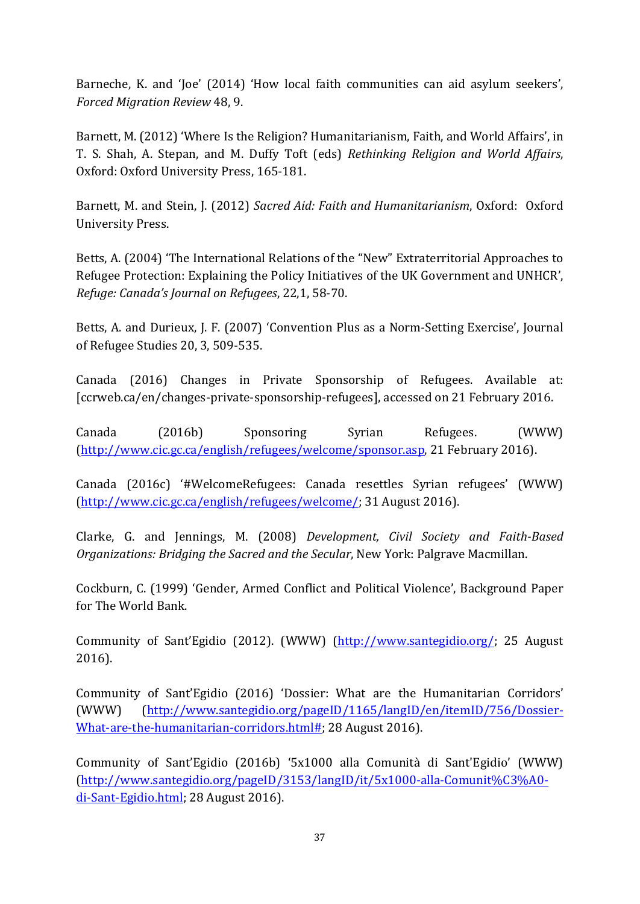Barneche, K. and 'Joe' (2014) 'How local faith communities can aid asylum seekers', *Forced Migration Review* 48, 9.

Barnett, M. (2012) 'Where Is the Religion? Humanitarianism, Faith, and World Affairs', in T. S. Shah, A. Stepan, and M. Duffy Toft (eds) *Rethinking Religion and World Affairs*, Oxford: Oxford University Press, 165-181.

Barnett, M. and Stein, J. (2012) *Sacred Aid: Faith and Humanitarianism*, Oxford: Oxford University Press.

Betts, A. (2004) 'The International Relations of the "New" Extraterritorial Approaches to Refugee Protection: Explaining the Policy Initiatives of the UK Government and UNHCR', *Refuge: Canada's Journal on Refugees*, 22,1, 58-70.

Betts, A. and Durieux, J. F. (2007) 'Convention Plus as a Norm-Setting Exercise', Journal of Refugee Studies 20, 3, 509-535.

Canada (2016) Changes in Private Sponsorship of Refugees. Available at: [ccrweb.ca/en/changes-private-sponsorship-refugees], accessed on 21 February 2016.

Canada (2016b) Sponsoring Syrian Refugees. (WWW) (http://www.cic.gc.ca/english/refugees/welcome/sponsor.asp, 21 February 2016).

Canada (2016c) '#WelcomeRefugees: Canada resettles Syrian refugees' (WWW) (http://www.cic.gc.ca/english/refugees/welcome/; 31 August 2016).

Clarke, G. and Jennings, M. (2008) *Development, Civil Society and Faith-Based Organizations: Bridging the Sacred and the Secular*, New York: Palgrave Macmillan.

Cockburn, C. (1999) 'Gender, Armed Conflict and Political Violence', Background Paper for The World Bank.

Community of Sant'Egidio (2012). (WWW) (http://www.santegidio.org/; 25 August 2016).

Community of Sant'Egidio (2016) 'Dossier: What are the Humanitarian Corridors' (WWW) (http://www.santegidio.org/pageID/1165/langID/en/itemID/756/Dossier-What-are-the-humanitarian-corridors.html#; 28 August 2016).

Community of Sant'Egidio (2016b) '5x1000 alla Comunità di Sant'Egidio' (WWW) (http://www.santegidio.org/pageID/3153/langID/it/5x1000-alla-Comunit%C3%A0 di-Sant-Egidio.html; 28 August 2016).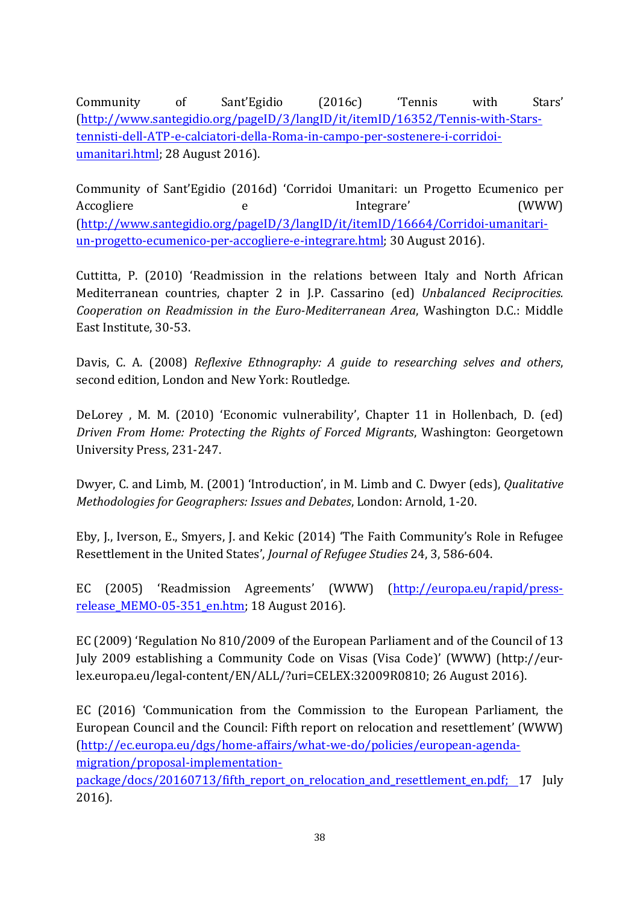Community of Sant'Egidio (2016c) 'Tennis with Stars' (http://www.santegidio.org/pageID/3/langID/it/itemID/16352/Tennis-with-Starstennisti-dell-ATP-e-calciatori-della-Roma-in-campo-per-sostenere-i-corridoiumanitari.html; 28 August 2016).

Community of Sant'Egidio (2016d) 'Corridoi Umanitari: un Progetto Ecumenico per Accogliere e e Integrare' (WWW) (http://www.santegidio.org/pageID/3/langID/it/itemID/16664/Corridoi-umanitariun-progetto-ecumenico-per-accogliere-e-integrare.html; 30 August 2016).

Cuttitta, P. (2010) 'Readmission in the relations between Italy and North African Mediterranean countries, chapter 2 in J.P. Cassarino (ed) *Unbalanced Reciprocities. Cooperation on Readmission in the Euro-Mediterranean Area*, Washington D.C.: Middle East Institute, 30-53.

Davis, C. A. (2008) *Reflexive Ethnography: A guide to researching selves and others*, second edition, London and New York: Routledge.

DeLorey , M. M. (2010) 'Economic vulnerability', Chapter 11 in Hollenbach, D. (ed) *Driven From Home: Protecting the Rights of Forced Migrants*, Washington: Georgetown University Press, 231-247.

Dwyer, C. and Limb, M. (2001) 'Introduction', in M. Limb and C. Dwyer (eds), *Qualitative Methodologies for Geographers: Issues and Debates*, London: Arnold, 1-20.

Eby, J., Iverson, E., Smyers, J. and Kekic (2014) 'The Faith Community's Role in Refugee Resettlement in the United States', *Journal of Refugee Studies* 24, 3, 586-604.

EC (2005) 'Readmission Agreements' (WWW) (http://europa.eu/rapid/pressrelease\_MEMO-05-351\_en.htm; 18 August 2016).

EC (2009) 'Regulation No 810/2009 of the European Parliament and of the Council of 13 July 2009 establishing a Community Code on Visas (Visa Code)' (WWW) (http://eurlex.europa.eu/legal-content/EN/ALL/?uri=CELEX:32009R0810; 26 August 2016).

EC (2016) 'Communication from the Commission to the European Parliament, the European Council and the Council: Fifth report on relocation and resettlement' (WWW) (http://ec.europa.eu/dgs/home-affairs/what-we-do/policies/european-agendamigration/proposal-implementation-

package/docs/20160713/fifth\_report\_on\_relocation\_and\_resettlement\_en.pdf; 17 July 2016).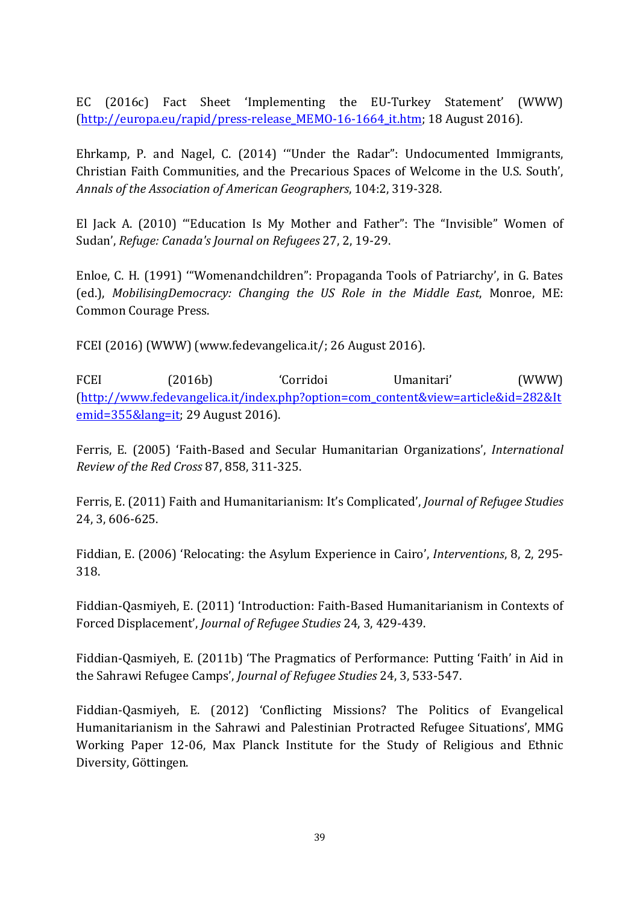EC (2016c) Fact Sheet 'Implementing the EU-Turkey Statement' (WWW) (http://europa.eu/rapid/press-release\_MEMO-16-1664\_it.htm; 18 August 2016).

Ehrkamp, P. and Nagel, C. (2014) '"Under the Radar": Undocumented Immigrants, Christian Faith Communities, and the Precarious Spaces of Welcome in the U.S. South', *Annals of the Association of American Geographers*, 104:2, 319-328.

El Jack A. (2010) '"Education Is My Mother and Father": The "Invisible" Women of Sudan', *Refuge: Canada's Journal on Refugees* 27, 2, 19-29.

Enloe, C. H. (1991) '"Womenandchildren": Propaganda Tools of Patriarchy', in G. Bates (ed.), *MobilisingDemocracy: Changing the US Role in the Middle East*, Monroe, ME: Common Courage Press.

FCEI (2016) (WWW) (www.fedevangelica.it/; 26 August 2016).

FCEI (2016b) 'Corridoi Umanitari' (WWW) (http://www.fedevangelica.it/index.php?option=com\_content&view=article&id=282&It emid=355&lang=it; 29 August 2016).

Ferris, E. (2005) 'Faith-Based and Secular Humanitarian Organizations', *International Review of the Red Cross* 87, 858, 311-325.

Ferris, E. (2011) Faith and Humanitarianism: It's Complicated', *Journal of Refugee Studies* 24, 3, 606-625.

Fiddian, E. (2006) 'Relocating: the Asylum Experience in Cairo', *Interventions*, 8, 2, 295- 318.

Fiddian-Qasmiyeh, E. (2011) 'Introduction: Faith-Based Humanitarianism in Contexts of Forced Displacement', *Journal of Refugee Studies* 24, 3, 429-439.

Fiddian-Qasmiyeh, E. (2011b) 'The Pragmatics of Performance: Putting 'Faith' in Aid in the Sahrawi Refugee Camps', *Journal of Refugee Studies* 24, 3, 533-547.

Fiddian-Qasmiyeh, E. (2012) 'Conflicting Missions? The Politics of Evangelical Humanitarianism in the Sahrawi and Palestinian Protracted Refugee Situations', MMG Working Paper 12-06, Max Planck Institute for the Study of Religious and Ethnic Diversity, Göttingen.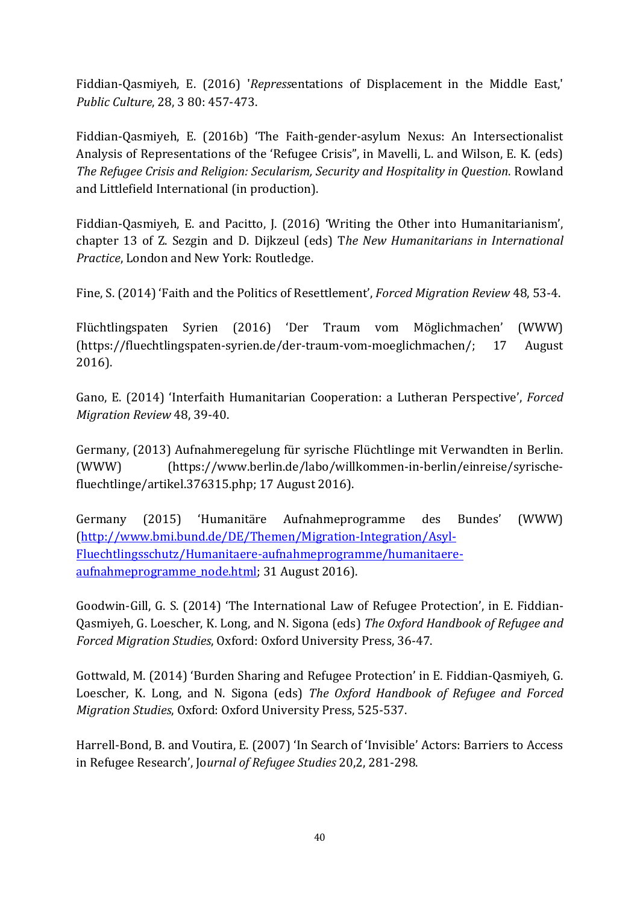Fiddian-Qasmiyeh, E. (2016) '*Repress*entations of Displacement in the Middle East,' *Public Culture*, 28, 3 80: 457-473.

Fiddian-Qasmiyeh, E. (2016b) 'The Faith-gender-asylum Nexus: An Intersectionalist Analysis of Representations of the 'Refugee Crisis", in Mavelli, L. and Wilson, E. K. (eds) *The Refugee Crisis and Religion: Secularism, Security and Hospitality in Question*. Rowland and Littlefield International (in production).

Fiddian-Qasmiyeh, E. and Pacitto, J. (2016) 'Writing the Other into Humanitarianism', chapter 13 of Z. Sezgin and D. Dijkzeul (eds) T*he New Humanitarians in International Practice*, London and New York: Routledge.

Fine, S. (2014) 'Faith and the Politics of Resettlement', *Forced Migration Review* 48, 53-4.

Flüchtlingspaten Syrien (2016) 'Der Traum vom Möglichmachen' (WWW) (https://fluechtlingspaten-syrien.de/der-traum-vom-moeglichmachen/; 17 August 2016).

Gano, E. (2014) 'Interfaith Humanitarian Cooperation: a Lutheran Perspective', *Forced Migration Review* 48, 39-40.

Germany, (2013) Aufnahmeregelung für syrische Flüchtlinge mit Verwandten in Berlin. (WWW) (https://www.berlin.de/labo/willkommen-in-berlin/einreise/syrischefluechtlinge/artikel.376315.php; 17 August 2016).

Germany (2015) 'Humanitäre Aufnahmeprogramme des Bundes' (WWW) (http://www.bmi.bund.de/DE/Themen/Migration-Integration/Asyl-Fluechtlingsschutz/Humanitaere-aufnahmeprogramme/humanitaereaufnahmeprogramme\_node.html; 31 August 2016).

Goodwin-Gill, G. S. (2014) 'The International Law of Refugee Protection', in E. Fiddian-Qasmiyeh, G. Loescher, K. Long, and N. Sigona (eds) *The Oxford Handbook of Refugee and Forced Migration Studies*, Oxford: Oxford University Press, 36-47.

Gottwald, M. (2014) 'Burden Sharing and Refugee Protection' in E. Fiddian-Qasmiyeh, G. Loescher, K. Long, and N. Sigona (eds) *The Oxford Handbook of Refugee and Forced Migration Studies*, Oxford: Oxford University Press, 525-537.

Harrell-Bond, B. and Voutira, E. (2007) 'In Search of 'Invisible' Actors: Barriers to Access in Refugee Research', Jo*urnal of Refugee Studies* 20,2, 281-298.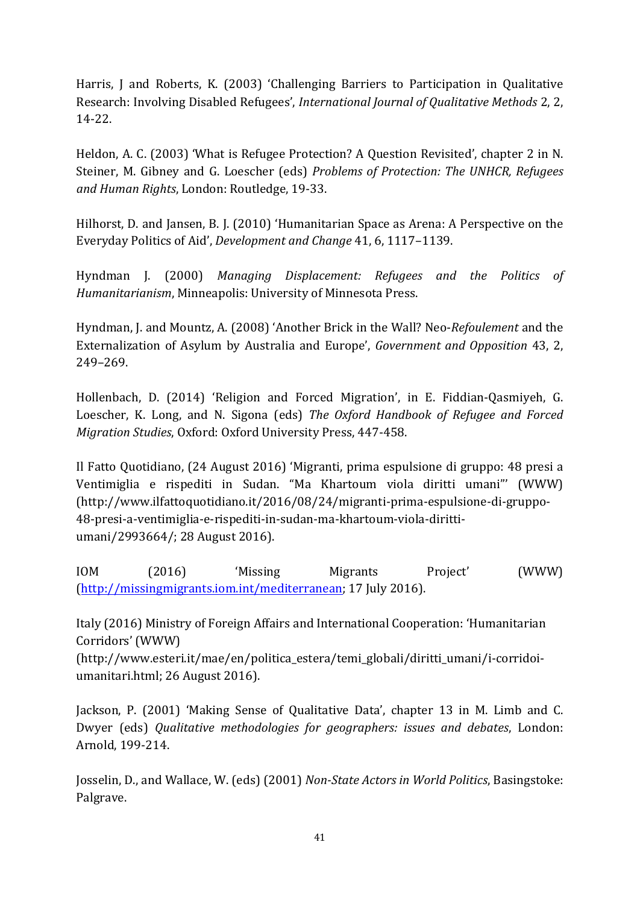Harris, J and Roberts, K. (2003) 'Challenging Barriers to Participation in Qualitative Research: Involving Disabled Refugees', *International Journal of Qualitative Methods* 2, 2, 14-22.

Heldon, A. C. (2003) 'What is Refugee Protection? A Question Revisited', chapter 2 in N. Steiner, M. Gibney and G. Loescher (eds) *Problems of Protection: The UNHCR, Refugees and Human Rights*, London: Routledge, 19-33.

Hilhorst, D. and Jansen, B. J. (2010) 'Humanitarian Space as Arena: A Perspective on the Everyday Politics of Aid', *Development and Change* 41, 6, 1117–1139.

Hyndman J. (2000) *Managing Displacement: Refugees and the Politics of Humanitarianism*, Minneapolis: University of Minnesota Press.

Hyndman, J. and Mountz, A. (2008) 'Another Brick in the Wall? Neo-*Refoulement* and the Externalization of Asylum by Australia and Europe', *Government and Opposition* 43, 2, 249–269.

Hollenbach, D. (2014) 'Religion and Forced Migration', in E. Fiddian-Qasmiyeh, G. Loescher, K. Long, and N. Sigona (eds) *The Oxford Handbook of Refugee and Forced Migration Studies*, Oxford: Oxford University Press, 447-458.

Il Fatto Quotidiano, (24 August 2016) 'Migranti, prima espulsione di gruppo: 48 presi a Ventimiglia e rispediti in Sudan. "Ma Khartoum viola diritti umani"' (WWW) (http://www.ilfattoquotidiano.it/2016/08/24/migranti-prima-espulsione-di-gruppo-48-presi-a-ventimiglia-e-rispediti-in-sudan-ma-khartoum-viola-dirittiumani/2993664/; 28 August 2016).

IOM (2016) 'Missing Migrants Project' (WWW) (http://missingmigrants.iom.int/mediterranean; 17 July 2016).

Italy (2016) Ministry of Foreign Affairs and International Cooperation: 'Humanitarian Corridors' (WWW)

(http://www.esteri.it/mae/en/politica\_estera/temi\_globali/diritti\_umani/i-corridoiumanitari.html; 26 August 2016).

Jackson, P. (2001) 'Making Sense of Qualitative Data', chapter 13 in M. Limb and C. Dwyer (eds) *Qualitative methodologies for geographers: issues and debates*, London: Arnold, 199-214.

Josselin, D., and Wallace, W. (eds) (2001) *Non-State Actors in World Politics*, Basingstoke: Palgrave.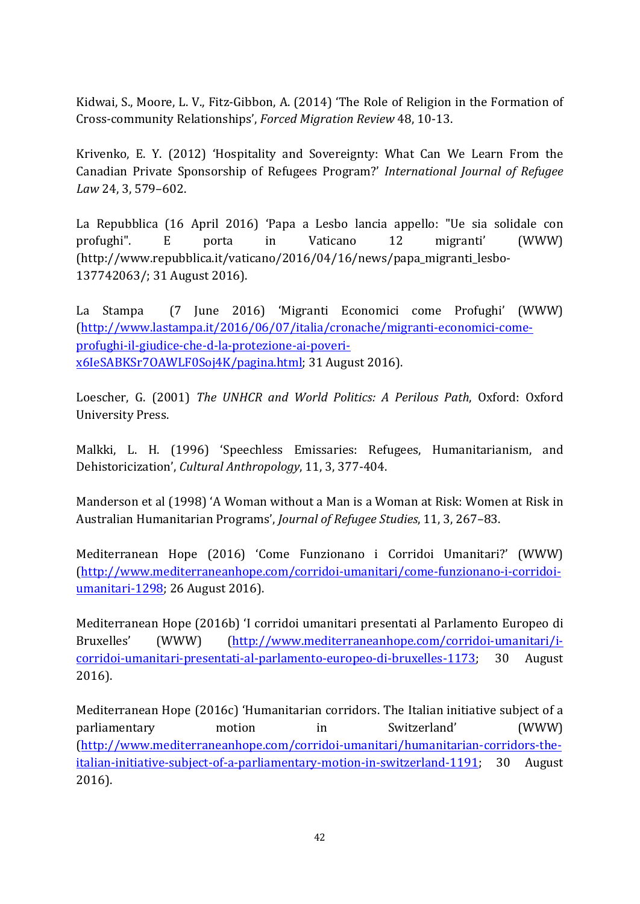Kidwai, S., Moore, L. V., Fitz-Gibbon, A. (2014) 'The Role of Religion in the Formation of Cross-community Relationships', *Forced Migration Review* 48, 10-13.

Krivenko, E. Y. (2012) 'Hospitality and Sovereignty: What Can We Learn From the Canadian Private Sponsorship of Refugees Program?' *International Journal of Refugee Law* 24, 3, 579–602.

La Repubblica (16 April 2016) 'Papa a Lesbo lancia appello: "Ue sia solidale con profughi". E porta in Vaticano 12 migranti' (WWW) (http://www.repubblica.it/vaticano/2016/04/16/news/papa\_migranti\_lesbo-137742063/; 31 August 2016).

La Stampa (7 June 2016) 'Migranti Economici come Profughi' (WWW) (http://www.lastampa.it/2016/06/07/italia/cronache/migranti-economici-comeprofughi-il-giudice-che-d-la-protezione-ai-poverix6IeSABKSr7OAWLF0Soj4K/pagina.html; 31 August 2016).

Loescher, G. (2001) *The UNHCR and World Politics: A Perilous Path*, Oxford: Oxford University Press.

Malkki, L. H. (1996) 'Speechless Emissaries: Refugees, Humanitarianism, and Dehistoricization', *Cultural Anthropology*, 11, 3, 377-404.

Manderson et al (1998) 'A Woman without a Man is a Woman at Risk: Women at Risk in Australian Humanitarian Programs', *Journal of Refugee Studies*, 11, 3, 267–83.

Mediterranean Hope (2016) 'Come Funzionano i Corridoi Umanitari?' (WWW) (http://www.mediterraneanhope.com/corridoi-umanitari/come-funzionano-i-corridoiumanitari-1298; 26 August 2016).

Mediterranean Hope (2016b) 'I corridoi umanitari presentati al Parlamento Europeo di Bruxelles' (WWW) (http://www.mediterraneanhope.com/corridoi-umanitari/icorridoi-umanitari-presentati-al-parlamento-europeo-di-bruxelles-1173; 30 August 2016).

Mediterranean Hope (2016c) 'Humanitarian corridors. The Italian initiative subject of a parliamentary motion in Switzerland' (WWW) (http://www.mediterraneanhope.com/corridoi-umanitari/humanitarian-corridors-theitalian-initiative-subject-of-a-parliamentary-motion-in-switzerland-1191; 30 August 2016).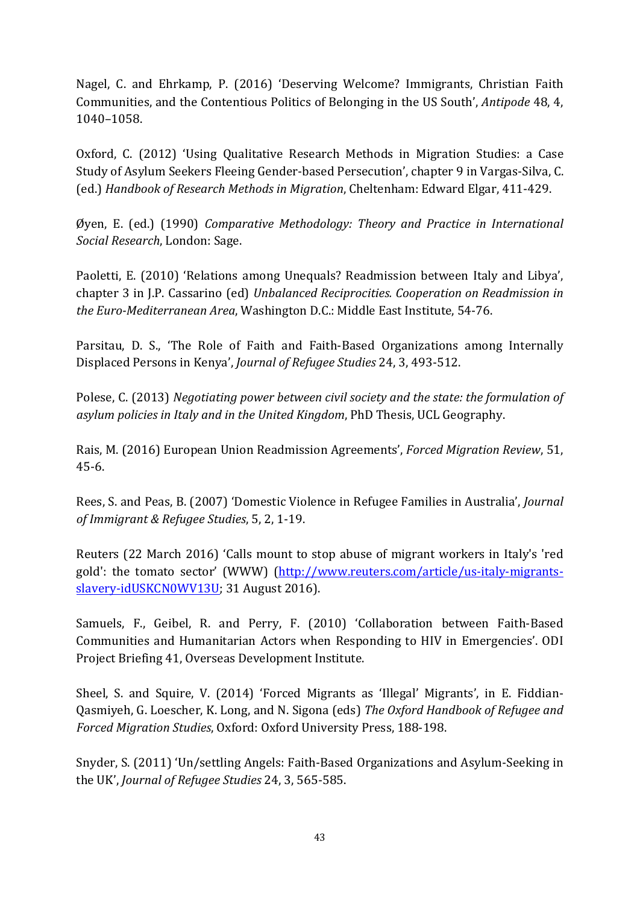Nagel, C. and Ehrkamp, P. (2016) 'Deserving Welcome? Immigrants, Christian Faith Communities, and the Contentious Politics of Belonging in the US South', *Antipode* 48, 4, 1040–1058.

Oxford, C. (2012) 'Using Qualitative Research Methods in Migration Studies: a Case Study of Asylum Seekers Fleeing Gender-based Persecution', chapter 9 in Vargas-Silva, C. (ed.) *Handbook of Research Methods in Migration*, Cheltenham: Edward Elgar, 411-429.

Øyen, E. (ed.) (1990) *Comparative Methodology: Theory and Practice in International Social Research*, London: Sage.

Paoletti, E. (2010) 'Relations among Unequals? Readmission between Italy and Libya', chapter 3 in J.P. Cassarino (ed) *Unbalanced Reciprocities. Cooperation on Readmission in the Euro-Mediterranean Area*, Washington D.C.: Middle East Institute, 54-76.

Parsitau, D. S., 'The Role of Faith and Faith-Based Organizations among Internally Displaced Persons in Kenya', *Journal of Refugee Studies* 24, 3, 493-512.

Polese, C. (2013) *Negotiating power between civil society and the state: the formulation of asylum policies in Italy and in the United Kingdom*, PhD Thesis, UCL Geography.

Rais, M. (2016) European Union Readmission Agreements', *Forced Migration Review*, 51, 45-6.

Rees, S. and Peas, B. (2007) 'Domestic Violence in Refugee Families in Australia', *Journal of Immigrant & Refugee Studies*, 5, 2, 1-19.

Reuters (22 March 2016) 'Calls mount to stop abuse of migrant workers in Italy's 'red gold': the tomato sector' (WWW) (http://www.reuters.com/article/us-italy-migrantsslavery-idUSKCN0WV13U; 31 August 2016).

Samuels, F., Geibel, R. and Perry, F. (2010) 'Collaboration between Faith-Based Communities and Humanitarian Actors when Responding to HIV in Emergencies'. ODI Project Briefing 41, Overseas Development Institute.

Sheel, S. and Squire, V. (2014) 'Forced Migrants as 'Illegal' Migrants', in E. Fiddian-Qasmiyeh, G. Loescher, K. Long, and N. Sigona (eds) *The Oxford Handbook of Refugee and Forced Migration Studies*, Oxford: Oxford University Press, 188-198.

Snyder, S. (2011) 'Un/settling Angels: Faith-Based Organizations and Asylum-Seeking in the UK', *Journal of Refugee Studies* 24, 3, 565-585.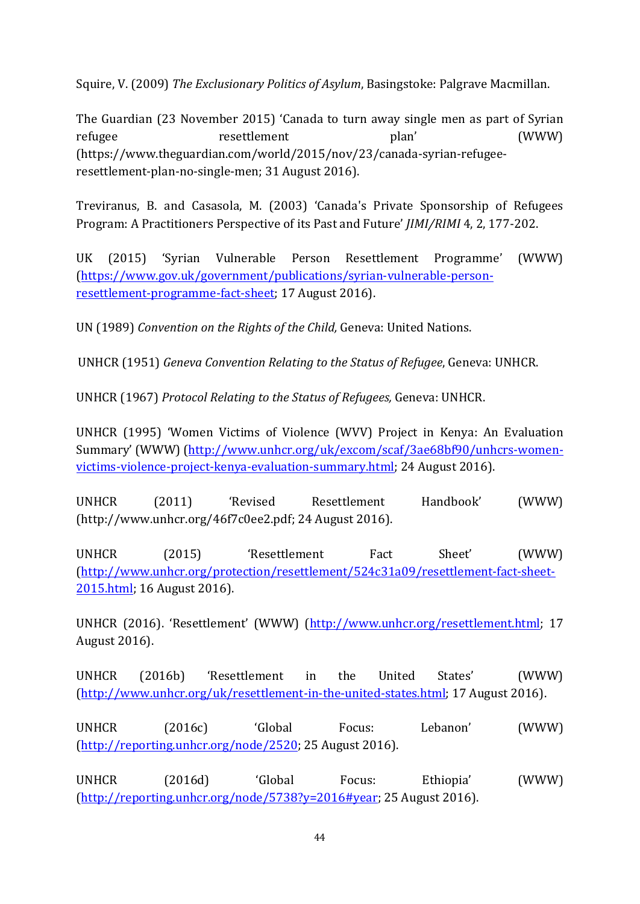Squire, V. (2009) *The Exclusionary Politics of Asylum*, Basingstoke: Palgrave Macmillan.

The Guardian (23 November 2015) 'Canada to turn away single men as part of Syrian refugee resettlement plan' (WWW) (https://www.theguardian.com/world/2015/nov/23/canada-syrian-refugeeresettlement-plan-no-single-men; 31 August 2016).

Treviranus, B. and Casasola, M. (2003) 'Canada's Private Sponsorship of Refugees Program: A Practitioners Perspective of its Past and Future' *JIMI/RIMI* 4, 2, 177-202.

UK (2015) 'Syrian Vulnerable Person Resettlement Programme' (WWW) (https://www.gov.uk/government/publications/syrian-vulnerable-personresettlement-programme-fact-sheet; 17 August 2016).

UN (1989) *Convention on the Rights of the Child,* Geneva: United Nations.

UNHCR (1951) *Geneva Convention Relating to the Status of Refugee*, Geneva: UNHCR.

UNHCR (1967) *Protocol Relating to the Status of Refugees,* Geneva: UNHCR.

UNHCR (1995) 'Women Victims of Violence (WVV) Project in Kenya: An Evaluation Summary' (WWW) (http://www.unhcr.org/uk/excom/scaf/3ae68bf90/unhcrs-womenvictims-violence-project-kenya-evaluation-summary.html; 24 August 2016).

UNHCR (2011) 'Revised Resettlement Handbook' (WWW) (http://www.unhcr.org/46f7c0ee2.pdf; 24 August 2016).

UNHCR (2015) 'Resettlement Fact Sheet' (WWW) (http://www.unhcr.org/protection/resettlement/524c31a09/resettlement-fact-sheet-2015.html; 16 August 2016).

UNHCR (2016). 'Resettlement' (WWW) (http://www.unhcr.org/resettlement.html; 17 August 2016).

UNHCR (2016b) 'Resettlement in the United States' (WWW) (http://www.unhcr.org/uk/resettlement-in-the-united-states.html; 17 August 2016).

UNHCR (2016c) 'Global Focus: Lebanon' (WWW) (http://reporting.unhcr.org/node/2520; 25 August 2016).

UNHCR (2016d) 'Global Focus: Ethiopia' (WWW) (http://reporting.unhcr.org/node/5738?y=2016#year; 25 August 2016).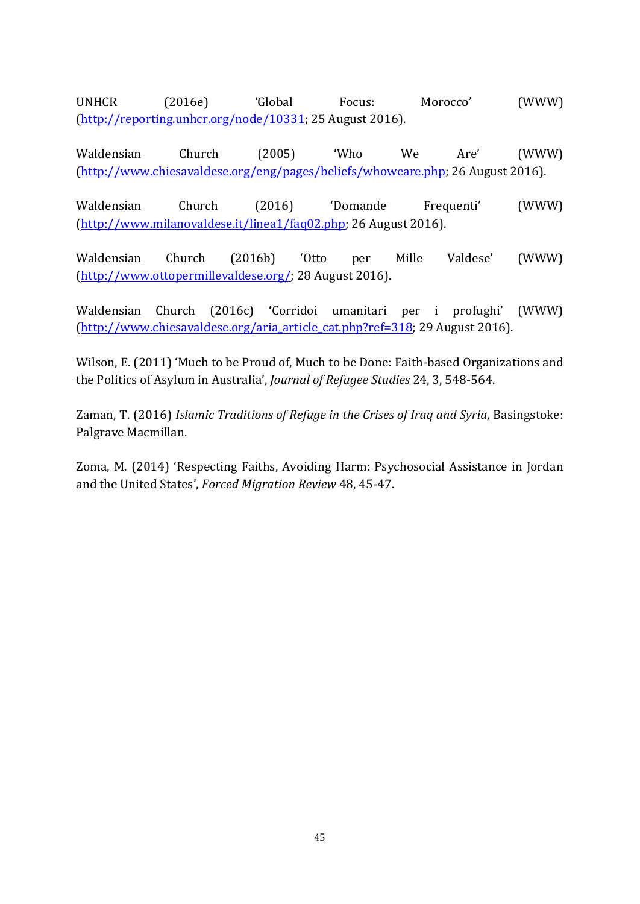UNHCR (2016e) 'Global Focus: Morocco' (WWW) (http://reporting.unhcr.org/node/10331; 25 August 2016).

Waldensian Church (2005) 'Who We Are' (WWW) (http://www.chiesavaldese.org/eng/pages/beliefs/whoweare.php; 26 August 2016).

Waldensian Church (2016) 'Domande Frequenti' (WWW) (http://www.milanovaldese.it/linea1/faq02.php; 26 August 2016).

Waldensian Church (2016b) 'Otto per Mille Valdese' (WWW) (http://www.ottopermillevaldese.org/; 28 August 2016).

Waldensian Church (2016c) 'Corridoi umanitari per i profughi' (WWW) (http://www.chiesavaldese.org/aria\_article\_cat.php?ref=318; 29 August 2016).

Wilson, E. (2011) 'Much to be Proud of, Much to be Done: Faith-based Organizations and the Politics of Asylum in Australia', *Journal of Refugee Studies* 24, 3, 548-564.

Zaman, T. (2016) *Islamic Traditions of Refuge in the Crises of Iraq and Syria*, Basingstoke: Palgrave Macmillan.

Zoma, M. (2014) 'Respecting Faiths, Avoiding Harm: Psychosocial Assistance in Jordan and the United States', *Forced Migration Review* 48, 45-47.